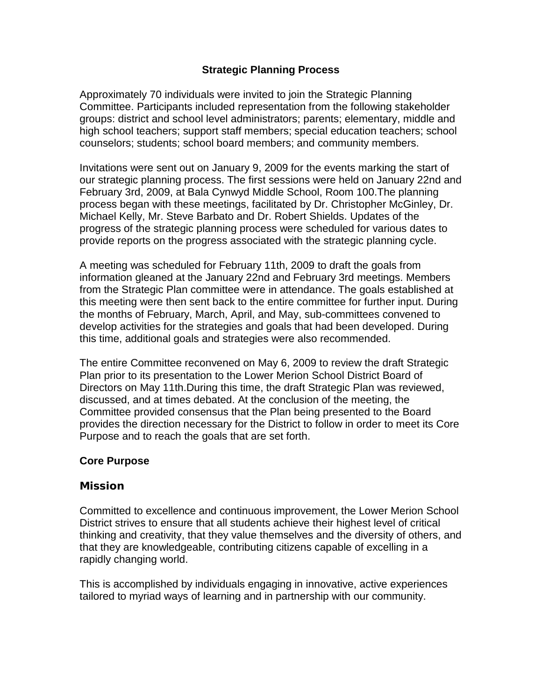# **Strategic Planning Process**

Approximately 70 individuals were invited to join the Strategic Planning Committee. Participants included representation from the following stakeholder groups: district and school level administrators; parents; elementary, middle and high school teachers; support staff members; special education teachers; school counselors; students; school board members; and community members.

Invitations were sent out on January 9, 2009 for the events marking the start of our strategic planning process. The first sessions were held on January 22nd and February 3rd, 2009, at Bala Cynwyd Middle School, Room 100.The planning process began with these meetings, facilitated by Dr. Christopher McGinley, Dr. Michael Kelly, Mr. Steve Barbato and Dr. Robert Shields. Updates of the progress of the strategic planning process were scheduled for various dates to provide reports on the progress associated with the strategic planning cycle.

A meeting was scheduled for February 11th, 2009 to draft the goals from information gleaned at the January 22nd and February 3rd meetings. Members from the Strategic Plan committee were in attendance. The goals established at this meeting were then sent back to the entire committee for further input. During the months of February, March, April, and May, sub-committees convened to develop activities for the strategies and goals that had been developed. During this time, additional goals and strategies were also recommended.

The entire Committee reconvened on May 6, 2009 to review the draft Strategic Plan prior to its presentation to the Lower Merion School District Board of Directors on May 11th.During this time, the draft Strategic Plan was reviewed, discussed, and at times debated. At the conclusion of the meeting, the Committee provided consensus that the Plan being presented to the Board provides the direction necessary for the District to follow in order to meet its Core Purpose and to reach the goals that are set forth.

# **Core Purpose**

# **Mission**

Committed to excellence and continuous improvement, the Lower Merion School District strives to ensure that all students achieve their highest level of critical thinking and creativity, that they value themselves and the diversity of others, and that they are knowledgeable, contributing citizens capable of excelling in a rapidly changing world.

This is accomplished by individuals engaging in innovative, active experiences tailored to myriad ways of learning and in partnership with our community.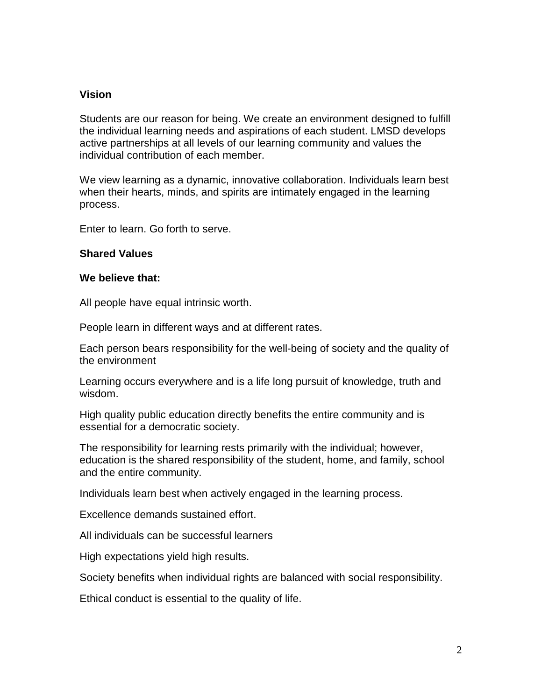# **Vision**

Students are our reason for being. We create an environment designed to fulfill the individual learning needs and aspirations of each student. LMSD develops active partnerships at all levels of our learning community and values the individual contribution of each member.

We view learning as a dynamic, innovative collaboration. Individuals learn best when their hearts, minds, and spirits are intimately engaged in the learning process.

Enter to learn. Go forth to serve.

# **Shared Values**

## **We believe that:**

All people have equal intrinsic worth.

People learn in different ways and at different rates.

Each person bears responsibility for the well-being of society and the quality of the environment

Learning occurs everywhere and is a life long pursuit of knowledge, truth and wisdom.

High quality public education directly benefits the entire community and is essential for a democratic society.

The responsibility for learning rests primarily with the individual; however, education is the shared responsibility of the student, home, and family, school and the entire community.

Individuals learn best when actively engaged in the learning process.

Excellence demands sustained effort.

All individuals can be successful learners

High expectations yield high results.

Society benefits when individual rights are balanced with social responsibility.

Ethical conduct is essential to the quality of life.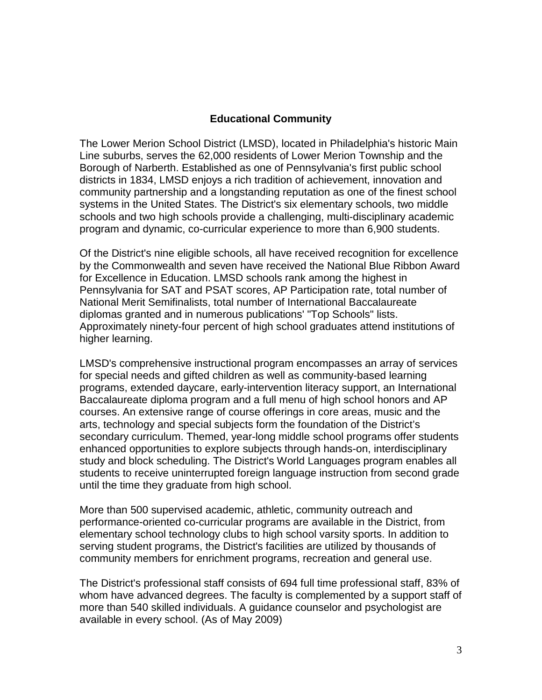# **Educational Community**

The Lower Merion School District (LMSD), located in Philadelphia's historic Main Line suburbs, serves the 62,000 residents of Lower Merion Township and the Borough of Narberth. Established as one of Pennsylvania's first public school districts in 1834, LMSD enjoys a rich tradition of achievement, innovation and community partnership and a longstanding reputation as one of the finest school systems in the United States. The District's six elementary schools, two middle schools and two high schools provide a challenging, multi-disciplinary academic program and dynamic, co-curricular experience to more than 6,900 students.

Of the District's nine eligible schools, all have received recognition for excellence by the Commonwealth and seven have received the National Blue Ribbon Award for Excellence in Education. LMSD schools rank among the highest in Pennsylvania for SAT and PSAT scores, AP Participation rate, total number of National Merit Semifinalists, total number of International Baccalaureate diplomas granted and in numerous publications' "Top Schools" lists. Approximately ninety-four percent of high school graduates attend institutions of higher learning.

LMSD's comprehensive instructional program encompasses an array of services for special needs and gifted children as well as community-based learning programs, extended daycare, early-intervention literacy support, an International Baccalaureate diploma program and a full menu of high school honors and AP courses. An extensive range of course offerings in core areas, music and the arts, technology and special subjects form the foundation of the District's secondary curriculum. Themed, year-long middle school programs offer students enhanced opportunities to explore subjects through hands-on, interdisciplinary study and block scheduling. The District's World Languages program enables all students to receive uninterrupted foreign language instruction from second grade until the time they graduate from high school.

More than 500 supervised academic, athletic, community outreach and performance-oriented co-curricular programs are available in the District, from elementary school technology clubs to high school varsity sports. In addition to serving student programs, the District's facilities are utilized by thousands of community members for enrichment programs, recreation and general use.

The District's professional staff consists of 694 full time professional staff, 83% of whom have advanced degrees. The faculty is complemented by a support staff of more than 540 skilled individuals. A guidance counselor and psychologist are available in every school. (As of May 2009)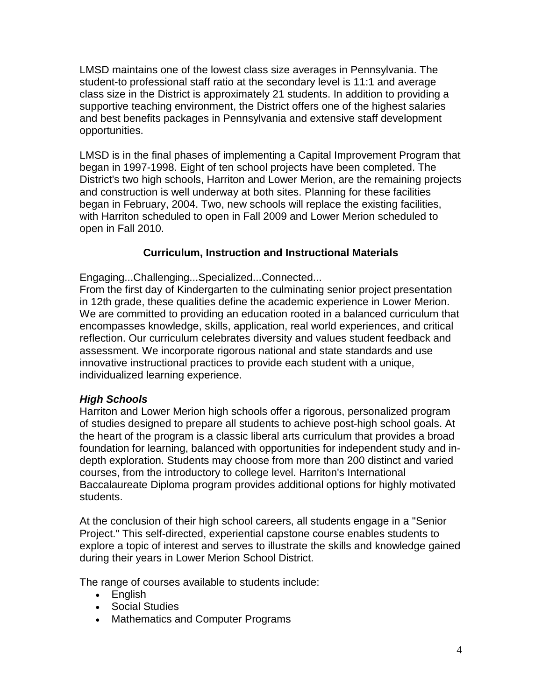LMSD maintains one of the lowest class size averages in Pennsylvania. The student-to professional staff ratio at the secondary level is 11:1 and average class size in the District is approximately 21 students. In addition to providing a supportive teaching environment, the District offers one of the highest salaries and best benefits packages in Pennsylvania and extensive staff development opportunities.

LMSD is in the final phases of implementing a Capital Improvement Program that began in 1997-1998. Eight of ten school projects have been completed. The District's two high schools, Harriton and Lower Merion, are the remaining projects and construction is well underway at both sites. Planning for these facilities began in February, 2004. Two, new schools will replace the existing facilities, with Harriton scheduled to open in Fall 2009 and Lower Merion scheduled to open in Fall 2010.

# **Curriculum, Instruction and Instructional Materials**

Engaging...Challenging...Specialized...Connected...

From the first day of Kindergarten to the culminating senior project presentation in 12th grade, these qualities define the academic experience in Lower Merion. We are committed to providing an education rooted in a balanced curriculum that encompasses knowledge, skills, application, real world experiences, and critical reflection. Our curriculum celebrates diversity and values student feedback and assessment. We incorporate rigorous national and state standards and use innovative instructional practices to provide each student with a unique, individualized learning experience.

# *High Schools*

Harriton and Lower Merion high schools offer a rigorous, personalized program of studies designed to prepare all students to achieve post-high school goals. At the heart of the program is a classic liberal arts curriculum that provides a broad foundation for learning, balanced with opportunities for independent study and indepth exploration. Students may choose from more than 200 distinct and varied courses, from the introductory to college level. Harriton's International Baccalaureate Diploma program provides additional options for highly motivated students.

At the conclusion of their high school careers, all students engage in a "Senior Project." This self-directed, experiential capstone course enables students to explore a topic of interest and serves to illustrate the skills and knowledge gained during their years in Lower Merion School District.

The range of courses available to students include:

- English
- Social Studies
- Mathematics and Computer Programs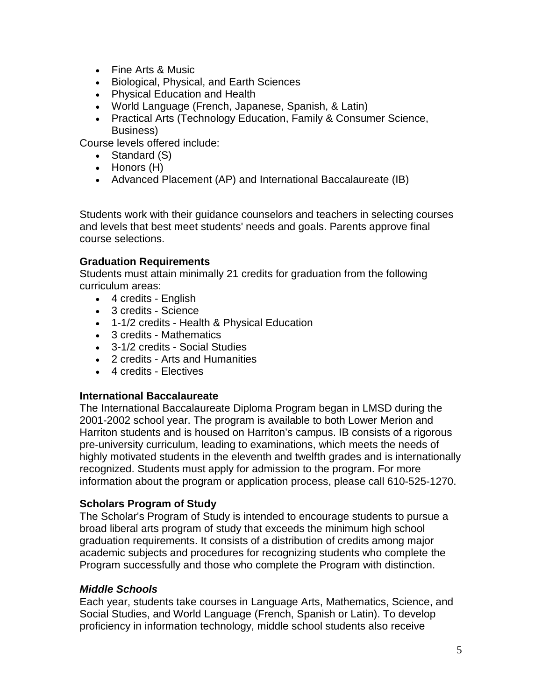- Fine Arts & Music
- Biological, Physical, and Earth Sciences
- Physical Education and Health
- World Language (French, Japanese, Spanish, & Latin)
- Practical Arts (Technology Education, Family & Consumer Science, Business)

Course levels offered include:

- Standard (S)
- Honors (H)
- Advanced Placement (AP) and International Baccalaureate (IB)

Students work with their guidance counselors and teachers in selecting courses and levels that best meet students' needs and goals. Parents approve final course selections.

# **Graduation Requirements**

Students must attain minimally 21 credits for graduation from the following curriculum areas:

- 4 credits English
- 3 credits Science
- 1-1/2 credits Health & Physical Education
- 3 credits Mathematics
- 3-1/2 credits Social Studies
- 2 credits Arts and Humanities
- 4 credits Electives

# **International Baccalaureate**

The [International Baccalaureate Diploma Program](http://www.lmsd.org/sections/academics/default.php?m=4&t=pages&p=program_ib) began in LMSD during the 2001-2002 school year. The program is available to both Lower Merion and Harriton students and is housed on Harriton's campus. IB consists of a rigorous pre-university curriculum, leading to examinations, which meets the needs of highly motivated students in the eleventh and twelfth grades and is internationally recognized. Students must apply for admission to the program. For more information about the program or application process, please call 610-525-1270.

# **Scholars Program of Study**

The Scholar's Program of Study is intended to encourage students to pursue a broad liberal arts program of study that exceeds the minimum high school graduation requirements. It consists of a distribution of credits among major academic subjects and procedures for recognizing students who complete the Program successfully and those who complete the Program with distinction.

# *Middle Schools*

Each year, students take courses in Language Arts, Mathematics, Science, and Social Studies, and World Language (French, Spanish or Latin). To develop proficiency in information technology, middle school students also receive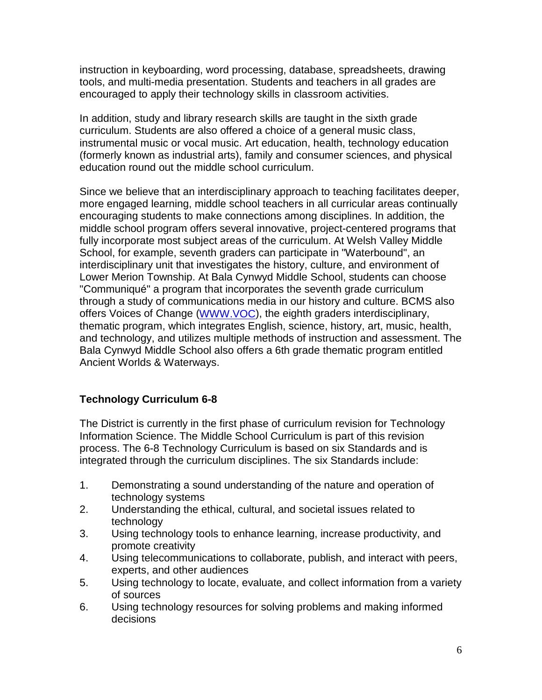instruction in keyboarding, word processing, database, spreadsheets, drawing tools, and multi-media presentation. Students and teachers in all grades are encouraged to apply their technology skills in classroom activities.

In addition, study and library research skills are taught in the sixth grade curriculum. Students are also offered a choice of a general music class, instrumental music or vocal music. Art education, health, technology education (formerly known as industrial arts), family and consumer sciences, and physical education round out the middle school curriculum.

Since we believe that an interdisciplinary approach to teaching facilitates deeper, more engaged learning, middle school teachers in all curricular areas continually encouraging students to make connections among disciplines. In addition, the middle school program offers several innovative, project-centered programs that fully incorporate most subject areas of the curriculum. At Welsh Valley Middle School, for example, seventh graders can participate in "Waterbound", an interdisciplinary unit that investigates the history, culture, and environment of Lower Merion Township. At Bala Cynwyd Middle School, students can choose "Communiqué" a program that incorporates the seventh grade curriculum through a study of communications media in our history and culture. BCMS also offers Voices of Change [\(WWW.VOC\)](http://www.voc/), the eighth graders interdisciplinary, thematic program, which integrates English, science, history, art, music, health, and technology, and utilizes multiple methods of instruction and assessment. The Bala Cynwyd Middle School also offers a 6th grade thematic program entitled Ancient Worlds & Waterways.

# **Technology Curriculum 6-8**

The District is currently in the first phase of curriculum revision for Technology Information Science. The Middle School Curriculum is part of this revision process. The 6-8 Technology Curriculum is based on six Standards and is integrated through the curriculum disciplines. The six Standards include:

- 1. Demonstrating a sound understanding of the nature and operation of technology systems
- 2. Understanding the ethical, cultural, and societal issues related to technology
- 3. Using technology tools to enhance learning, increase productivity, and promote creativity
- 4. Using telecommunications to collaborate, publish, and interact with peers, experts, and other audiences
- 5. Using technology to locate, evaluate, and collect information from a variety of sources
- 6. Using technology resources for solving problems and making informed decisions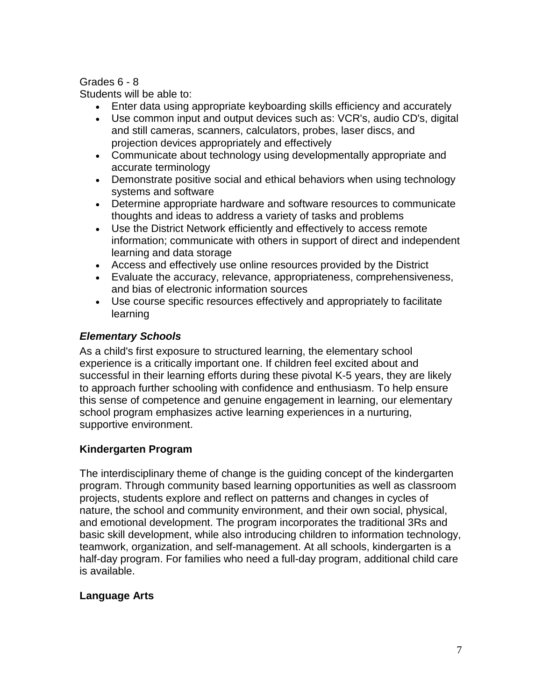# Grades 6 - 8

Students will be able to:

- Enter data using appropriate keyboarding skills efficiency and accurately
- Use common input and output devices such as: VCR's, audio CD's, digital and still cameras, scanners, calculators, probes, laser discs, and projection devices appropriately and effectively
- Communicate about technology using developmentally appropriate and accurate terminology
- Demonstrate positive social and ethical behaviors when using technology systems and software
- Determine appropriate hardware and software resources to communicate thoughts and ideas to address a variety of tasks and problems
- Use the District Network efficiently and effectively to access remote information; communicate with others in support of direct and independent learning and data storage
- Access and effectively use online resources provided by the District
- Evaluate the accuracy, relevance, appropriateness, comprehensiveness, and bias of electronic information sources
- Use course specific resources effectively and appropriately to facilitate learning

# *Elementary Schools*

As a child's first exposure to structured learning, the elementary school experience is a critically important one. If children feel excited about and successful in their learning efforts during these pivotal K-5 years, they are likely to approach further schooling with confidence and enthusiasm. To help ensure this sense of competence and genuine engagement in learning, our elementary school program emphasizes active learning experiences in a nurturing, supportive environment.

# **Kindergarten Program**

The interdisciplinary theme of change is the guiding concept of the kindergarten program. Through community based learning opportunities as well as classroom projects, students explore and reflect on patterns and changes in cycles of nature, the school and community environment, and their own social, physical, and emotional development. The program incorporates the traditional 3Rs and basic skill development, while also introducing children to information technology, teamwork, organization, and self-management. At all schools, kindergarten is a half-day program. For families who need a full-day program, additional child care is available.

# **Language Arts**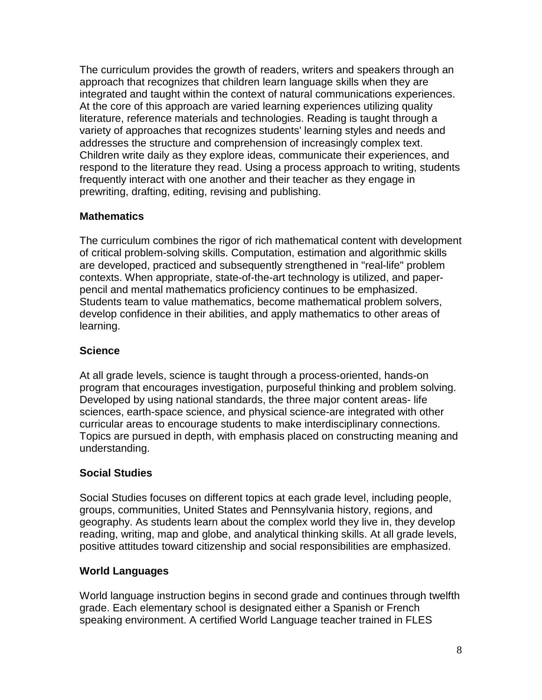The curriculum provides the growth of readers, writers and speakers through an approach that recognizes that children learn language skills when they are integrated and taught within the context of natural communications experiences. At the core of this approach are varied learning experiences utilizing quality literature, reference materials and technologies. Reading is taught through a variety of approaches that recognizes students' learning styles and needs and addresses the structure and comprehension of increasingly complex text. Children write daily as they explore ideas, communicate their experiences, and respond to the literature they read. Using a process approach to writing, students frequently interact with one another and their teacher as they engage in prewriting, drafting, editing, revising and publishing.

# **Mathematics**

The curriculum combines the rigor of rich mathematical content with development of critical problem-solving skills. Computation, estimation and algorithmic skills are developed, practiced and subsequently strengthened in "real-life" problem contexts. When appropriate, state-of-the-art technology is utilized, and paperpencil and mental mathematics proficiency continues to be emphasized. Students team to value mathematics, become mathematical problem solvers, develop confidence in their abilities, and apply mathematics to other areas of learning.

# **Science**

At all grade levels, science is taught through a process-oriented, hands-on program that encourages investigation, purposeful thinking and problem solving. Developed by using national standards, the three major content areas- life sciences, earth-space science, and physical science-are integrated with other curricular areas to encourage students to make interdisciplinary connections. Topics are pursued in depth, with emphasis placed on constructing meaning and understanding.

# **Social Studies**

Social Studies focuses on different topics at each grade level, including people, groups, communities, United States and Pennsylvania history, regions, and geography. As students learn about the complex world they live in, they develop reading, writing, map and globe, and analytical thinking skills. At all grade levels, positive attitudes toward citizenship and social responsibilities are emphasized.

# **World Languages**

World language instruction begins in second grade and continues through twelfth grade. Each elementary school is designated either a Spanish or French speaking environment. A certified World Language teacher trained in FLES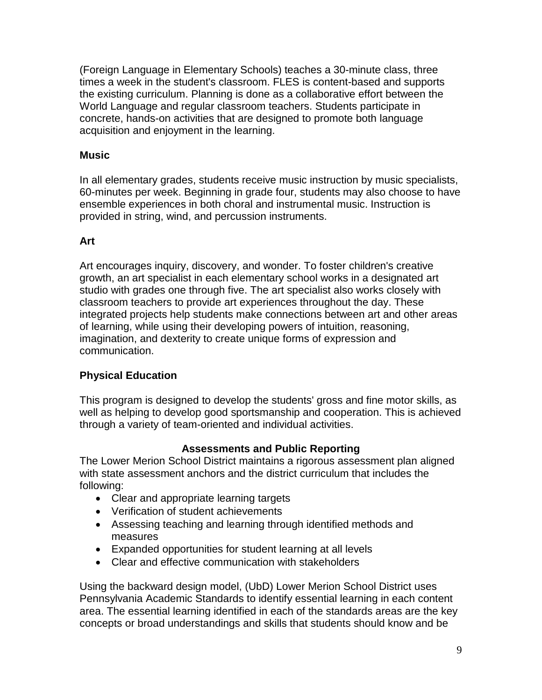(Foreign Language in Elementary Schools) teaches a 30-minute class, three times a week in the student's classroom. FLES is content-based and supports the existing curriculum. Planning is done as a collaborative effort between the World Language and regular classroom teachers. Students participate in concrete, hands-on activities that are designed to promote both language acquisition and enjoyment in the learning.

# **Music**

In all elementary grades, students receive music instruction by music specialists, 60-minutes per week. Beginning in grade four, students may also choose to have ensemble experiences in both choral and instrumental music. Instruction is provided in string, wind, and percussion instruments.

# **Art**

Art encourages inquiry, discovery, and wonder. To foster children's creative growth, an art specialist in each elementary school works in a designated art studio with grades one through five. The art specialist also works closely with classroom teachers to provide art experiences throughout the day. These integrated projects help students make connections between art and other areas of learning, while using their developing powers of intuition, reasoning, imagination, and dexterity to create unique forms of expression and communication.

# **Physical Education**

This program is designed to develop the students' gross and fine motor skills, as well as helping to develop good sportsmanship and cooperation. This is achieved through a variety of team-oriented and individual activities.

# **Assessments and Public Reporting**

The Lower Merion School District maintains a rigorous assessment plan aligned with state assessment anchors and the district curriculum that includes the following:

- Clear and appropriate learning targets
- Verification of student achievements
- Assessing teaching and learning through identified methods and measures
- Expanded opportunities for student learning at all levels
- Clear and effective communication with stakeholders

Using the backward design model, (UbD) Lower Merion School District uses Pennsylvania Academic Standards to identify essential learning in each content area. The essential learning identified in each of the standards areas are the key concepts or broad understandings and skills that students should know and be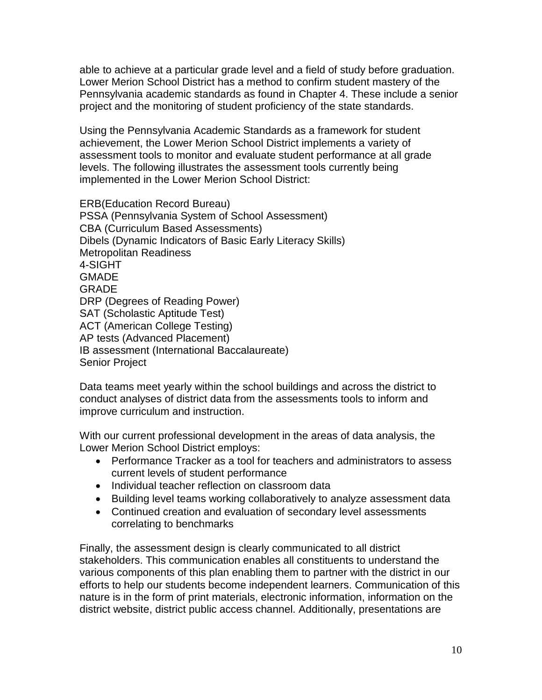able to achieve at a particular grade level and a field of study before graduation. Lower Merion School District has a method to confirm student mastery of the Pennsylvania academic standards as found in Chapter 4. These include a senior project and the monitoring of student proficiency of the state standards.

Using the Pennsylvania Academic Standards as a framework for student achievement, the Lower Merion School District implements a variety of assessment tools to monitor and evaluate student performance at all grade levels. The following illustrates the assessment tools currently being implemented in the Lower Merion School District:

ERB(Education Record Bureau) PSSA (Pennsylvania System of School Assessment) CBA (Curriculum Based Assessments) Dibels (Dynamic Indicators of Basic Early Literacy Skills) Metropolitan Readiness 4-SIGHT **GMADE GRADE** DRP (Degrees of Reading Power) SAT (Scholastic Aptitude Test) ACT (American College Testing) AP tests (Advanced Placement) IB assessment (International Baccalaureate) Senior Project

Data teams meet yearly within the school buildings and across the district to conduct analyses of district data from the assessments tools to inform and improve curriculum and instruction.

With our current professional development in the areas of data analysis, the Lower Merion School District employs:

- Performance Tracker as a tool for teachers and administrators to assess current levels of student performance
- Individual teacher reflection on classroom data
- Building level teams working collaboratively to analyze assessment data
- Continued creation and evaluation of secondary level assessments correlating to benchmarks

Finally, the assessment design is clearly communicated to all district stakeholders. This communication enables all constituents to understand the various components of this plan enabling them to partner with the district in our efforts to help our students become independent learners. Communication of this nature is in the form of print materials, electronic information, information on the district website, district public access channel. Additionally, presentations are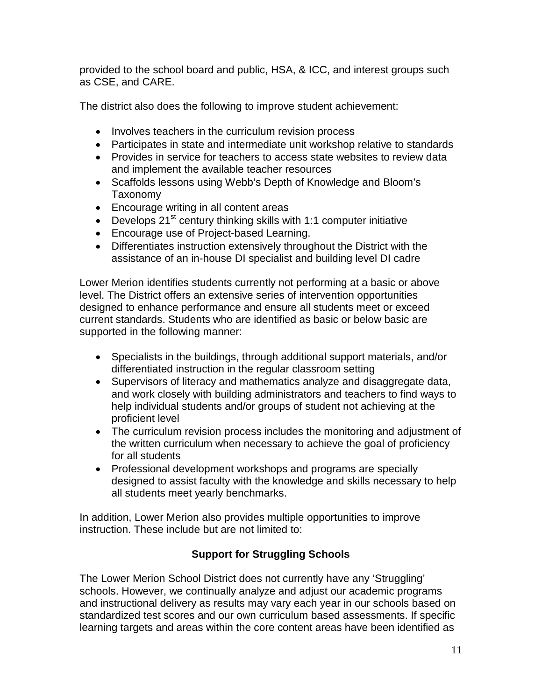provided to the school board and public, HSA, & ICC, and interest groups such as CSE, and CARE.

The district also does the following to improve student achievement:

- Involves teachers in the curriculum revision process
- Participates in state and intermediate unit workshop relative to standards
- Provides in service for teachers to access state websites to review data and implement the available teacher resources
- Scaffolds lessons using Webb's Depth of Knowledge and Bloom's Taxonomy
- Encourage writing in all content areas
- Develops  $21<sup>st</sup>$  century thinking skills with 1:1 computer initiative
- Encourage use of Project-based Learning.
- Differentiates instruction extensively throughout the District with the assistance of an in-house DI specialist and building level DI cadre

Lower Merion identifies students currently not performing at a basic or above level. The District offers an extensive series of intervention opportunities designed to enhance performance and ensure all students meet or exceed current standards. Students who are identified as basic or below basic are supported in the following manner:

- Specialists in the buildings, through additional support materials, and/or differentiated instruction in the regular classroom setting
- Supervisors of literacy and mathematics analyze and disaggregate data, and work closely with building administrators and teachers to find ways to help individual students and/or groups of student not achieving at the proficient level
- The curriculum revision process includes the monitoring and adjustment of the written curriculum when necessary to achieve the goal of proficiency for all students
- Professional development workshops and programs are specially designed to assist faculty with the knowledge and skills necessary to help all students meet yearly benchmarks.

In addition, Lower Merion also provides multiple opportunities to improve instruction. These include but are not limited to:

# **Support for Struggling Schools**

The Lower Merion School District does not currently have any 'Struggling' schools. However, we continually analyze and adjust our academic programs and instructional delivery as results may vary each year in our schools based on standardized test scores and our own curriculum based assessments. If specific learning targets and areas within the core content areas have been identified as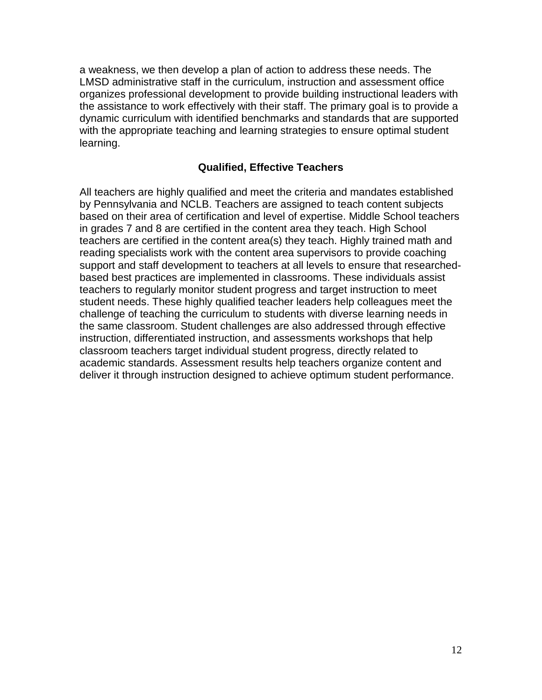a weakness, we then develop a plan of action to address these needs. The LMSD administrative staff in the curriculum, instruction and assessment office organizes professional development to provide building instructional leaders with the assistance to work effectively with their staff. The primary goal is to provide a dynamic curriculum with identified benchmarks and standards that are supported with the appropriate teaching and learning strategies to ensure optimal student learning.

# **Qualified, Effective Teachers**

All teachers are highly qualified and meet the criteria and mandates established by Pennsylvania and NCLB. Teachers are assigned to teach content subjects based on their area of certification and level of expertise. Middle School teachers in grades 7 and 8 are certified in the content area they teach. High School teachers are certified in the content area(s) they teach. Highly trained math and reading specialists work with the content area supervisors to provide coaching support and staff development to teachers at all levels to ensure that researchedbased best practices are implemented in classrooms. These individuals assist teachers to regularly monitor student progress and target instruction to meet student needs. These highly qualified teacher leaders help colleagues meet the challenge of teaching the curriculum to students with diverse learning needs in the same classroom. Student challenges are also addressed through effective instruction, differentiated instruction, and assessments workshops that help classroom teachers target individual student progress, directly related to academic standards. Assessment results help teachers organize content and deliver it through instruction designed to achieve optimum student performance.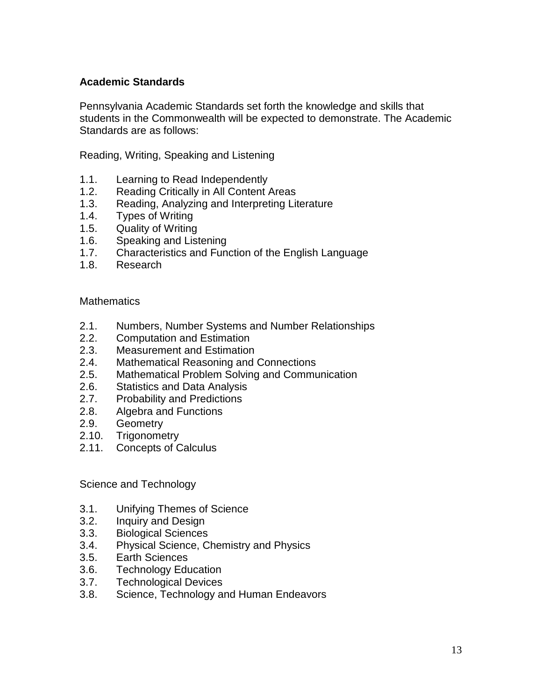# **Academic Standards**

Pennsylvania Academic Standards set forth the knowledge and skills that students in the Commonwealth will be expected to demonstrate. The Academic Standards are as follows:

Reading, Writing, Speaking and Listening

- 1.1. Learning to Read Independently
- 1.2. Reading Critically in All Content Areas
- 1.3. Reading, Analyzing and Interpreting Literature
- 1.4. Types of Writing
- 1.5. Quality of Writing
- 1.6. Speaking and Listening
- 1.7. Characteristics and Function of the English Language
- 1.8. Research

## **Mathematics**

- 2.1. Numbers, Number Systems and Number Relationships
- 2.2. Computation and Estimation
- 2.3. Measurement and Estimation
- 2.4. Mathematical Reasoning and Connections
- 2.5. Mathematical Problem Solving and Communication
- 2.6. Statistics and Data Analysis
- 2.7. Probability and Predictions
- 2.8. Algebra and Functions<br>2.9. Geometry
- **Geometry**
- 2.10. Trigonometry
- 2.11. Concepts of Calculus

Science and Technology

- 3.1. Unifying Themes of Science
- 3.2. Inquiry and Design
- 3.3. Biological Sciences
- 3.4. Physical Science, Chemistry and Physics
- 3.5. Earth Sciences
- 3.6. Technology Education
- 3.7. Technological Devices
- 3.8. Science, Technology and Human Endeavors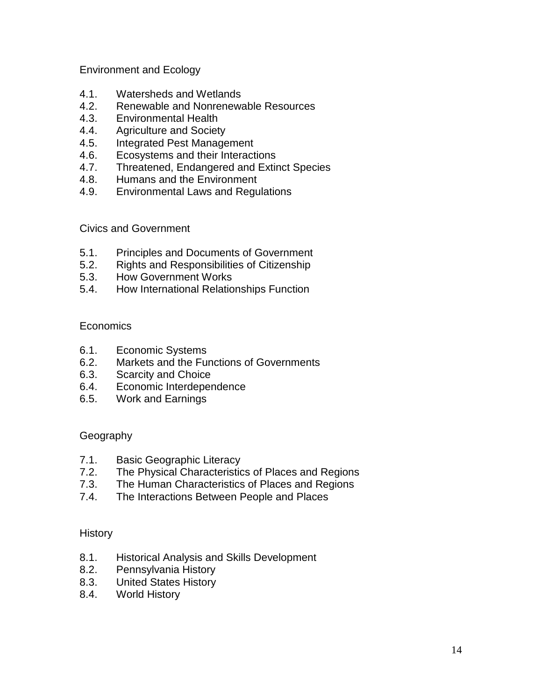Environment and Ecology

- 4.1. Watersheds and Wetlands
- 4.2. Renewable and Nonrenewable Resources
- 4.3. Environmental Health
- 4.4. Agriculture and Society
- 4.5. Integrated Pest Management
- 4.6. Ecosystems and their Interactions
- 4.7. Threatened, Endangered and Extinct Species
- 4.8. Humans and the Environment
- 4.9. Environmental Laws and Regulations

Civics and Government

- 5.1. Principles and Documents of Government
- 5.2. Rights and Responsibilities of Citizenship
- 5.3. How Government Works
- 5.4. How International Relationships Function

## **Economics**

- 6.1. Economic Systems
- 6.2. Markets and the Functions of Governments
- 6.3. Scarcity and Choice
- 6.4. Economic Interdependence
- 6.5. Work and Earnings

## Geography

- 7.1. Basic Geographic Literacy
- 7.2. The Physical Characteristics of Places and Regions
- 7.3. The Human Characteristics of Places and Regions
- 7.4. The Interactions Between People and Places

## History

- 8.1. Historical Analysis and Skills Development
- 8.2. Pennsylvania History
- 8.3. United States History
- 8.4. World History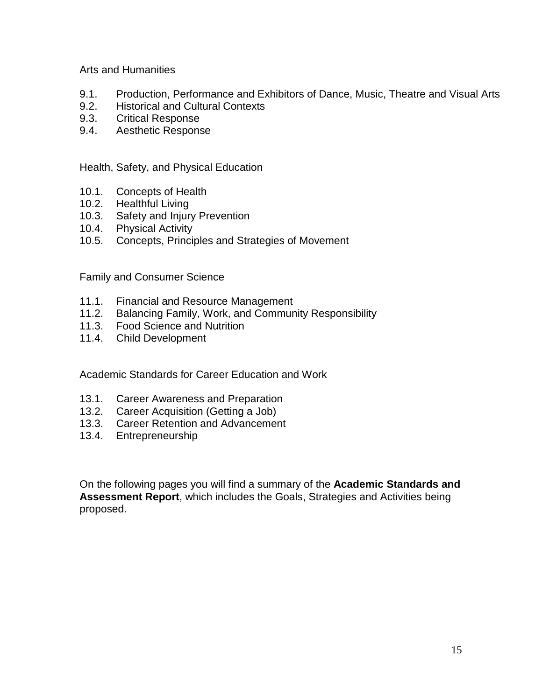Arts and Humanities

- 9.1. Production, Performance and Exhibitors of Dance, Music, Theatre and Visual Arts
- 9.2. Historical and Cultural Contexts
- 9.3. Critical Response
- 9.4. Aesthetic Response

Health, Safety, and Physical Education

- 10.1. Concepts of Health
- 10.2. Healthful Living
- 10.3. Safety and Injury Prevention
- 10.4. Physical Activity
- 10.5. Concepts, Principles and Strategies of Movement

Family and Consumer Science

- 11.1. Financial and Resource Management
- 11.2. Balancing Family, Work, and Community Responsibility
- 11.3. Food Science and Nutrition
- 11.4. Child Development

Academic Standards for Career Education and Work

- 13.1. Career Awareness and Preparation
- 13.2. Career Acquisition (Getting a Job)
- 13.3. Career Retention and Advancement
- 13.4. Entrepreneurship

On the following pages you will find a summary of the **Academic Standards and Assessment Report**, which includes the Goals, Strategies and Activities being proposed.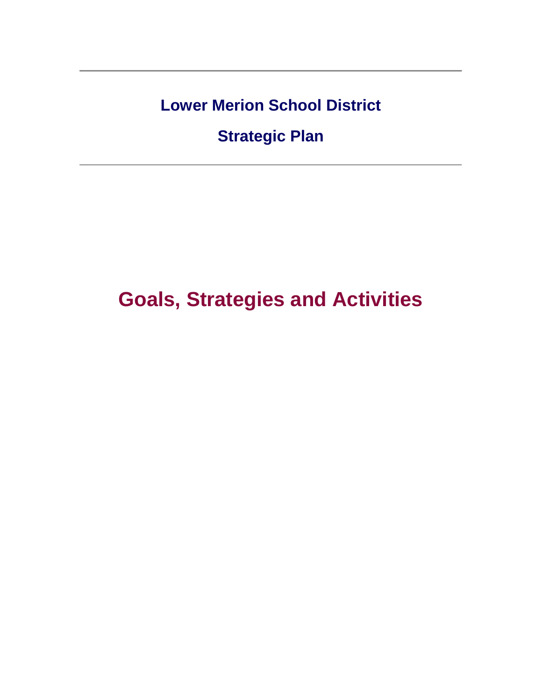**Lower Merion School District**

**Strategic Plan**

**Goals, Strategies and Activities**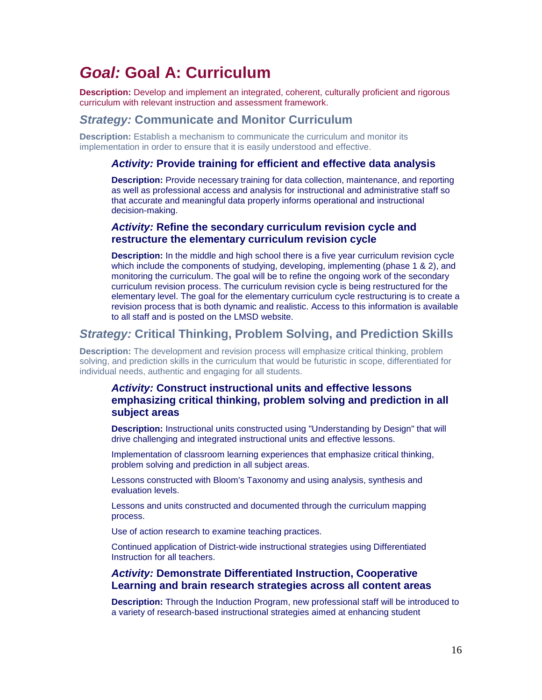# *Goal:* **Goal A: Curriculum**

**Description:** Develop and implement an integrated, coherent, culturally proficient and rigorous curriculum with relevant instruction and assessment framework.

# *Strategy:* **Communicate and Monitor Curriculum**

**Description:** Establish a mechanism to communicate the curriculum and monitor its implementation in order to ensure that it is easily understood and effective.

#### *Activity:* **Provide training for efficient and effective data analysis**

**Description:** Provide necessary training for data collection, maintenance, and reporting as well as professional access and analysis for instructional and administrative staff so that accurate and meaningful data properly informs operational and instructional decision-making.

#### *Activity:* **Refine the secondary curriculum revision cycle and restructure the elementary curriculum revision cycle**

**Description:** In the middle and high school there is a five year curriculum revision cycle which include the components of studying, developing, implementing (phase 1 & 2), and monitoring the curriculum. The goal will be to refine the ongoing work of the secondary curriculum revision process. The curriculum revision cycle is being restructured for the elementary level. The goal for the elementary curriculum cycle restructuring is to create a revision process that is both dynamic and realistic. Access to this information is available to all staff and is posted on the LMSD website.

# *Strategy:* **Critical Thinking, Problem Solving, and Prediction Skills**

**Description:** The development and revision process will emphasize critical thinking, problem solving, and prediction skills in the curriculum that would be futuristic in scope, differentiated for individual needs, authentic and engaging for all students.

# *Activity:* **Construct instructional units and effective lessons emphasizing critical thinking, problem solving and prediction in all subject areas**

**Description:** Instructional units constructed using "Understanding by Design" that will drive challenging and integrated instructional units and effective lessons.

Implementation of classroom learning experiences that emphasize critical thinking, problem solving and prediction in all subject areas.

Lessons constructed with Bloom's Taxonomy and using analysis, synthesis and evaluation levels.

Lessons and units constructed and documented through the curriculum mapping process.

Use of action research to examine teaching practices.

Continued application of District-wide instructional strategies using Differentiated Instruction for all teachers.

#### *Activity:* **Demonstrate Differentiated Instruction, Cooperative Learning and brain research strategies across all content areas**

**Description:** Through the Induction Program, new professional staff will be introduced to a variety of research-based instructional strategies aimed at enhancing student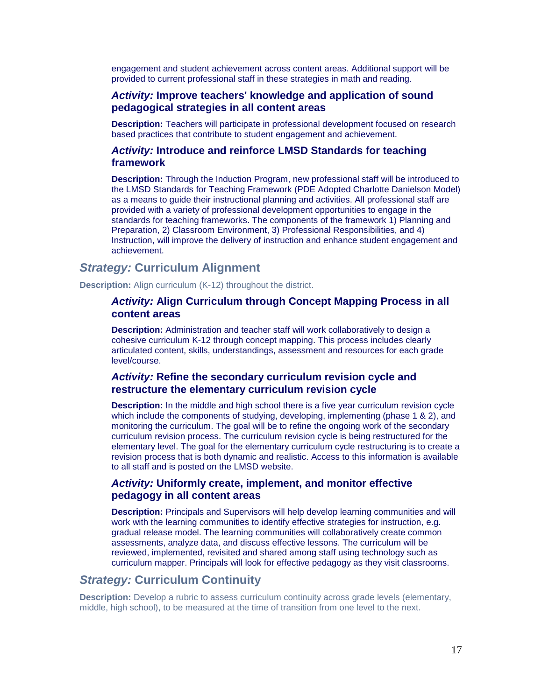engagement and student achievement across content areas. Additional support will be provided to current professional staff in these strategies in math and reading.

## *Activity:* **Improve teachers' knowledge and application of sound pedagogical strategies in all content areas**

**Description:** Teachers will participate in professional development focused on research based practices that contribute to student engagement and achievement.

#### *Activity:* **Introduce and reinforce LMSD Standards for teaching framework**

**Description:** Through the Induction Program, new professional staff will be introduced to the LMSD Standards for Teaching Framework (PDE Adopted Charlotte Danielson Model) as a means to guide their instructional planning and activities. All professional staff are provided with a variety of professional development opportunities to engage in the standards for teaching frameworks. The components of the framework 1) Planning and Preparation, 2) Classroom Environment, 3) Professional Responsibilities, and 4) Instruction, will improve the delivery of instruction and enhance student engagement and achievement.

# *Strategy:* **Curriculum Alignment**

**Description:** Align curriculum (K-12) throughout the district.

# *Activity:* **Align Curriculum through Concept Mapping Process in all content areas**

**Description:** Administration and teacher staff will work collaboratively to design a cohesive curriculum K-12 through concept mapping. This process includes clearly articulated content, skills, understandings, assessment and resources for each grade level/course.

## *Activity:* **Refine the secondary curriculum revision cycle and restructure the elementary curriculum revision cycle**

**Description:** In the middle and high school there is a five year curriculum revision cycle which include the components of studying, developing, implementing (phase 1 & 2), and monitoring the curriculum. The goal will be to refine the ongoing work of the secondary curriculum revision process. The curriculum revision cycle is being restructured for the elementary level. The goal for the elementary curriculum cycle restructuring is to create a revision process that is both dynamic and realistic. Access to this information is available to all staff and is posted on the LMSD website.

### *Activity:* **Uniformly create, implement, and monitor effective pedagogy in all content areas**

**Description:** Principals and Supervisors will help develop learning communities and will work with the learning communities to identify effective strategies for instruction, e.g. gradual release model. The learning communities will collaboratively create common assessments, analyze data, and discuss effective lessons. The curriculum will be reviewed, implemented, revisited and shared among staff using technology such as curriculum mapper. Principals will look for effective pedagogy as they visit classrooms.

# *Strategy:* **Curriculum Continuity**

**Description:** Develop a rubric to assess curriculum continuity across grade levels (elementary, middle, high school), to be measured at the time of transition from one level to the next.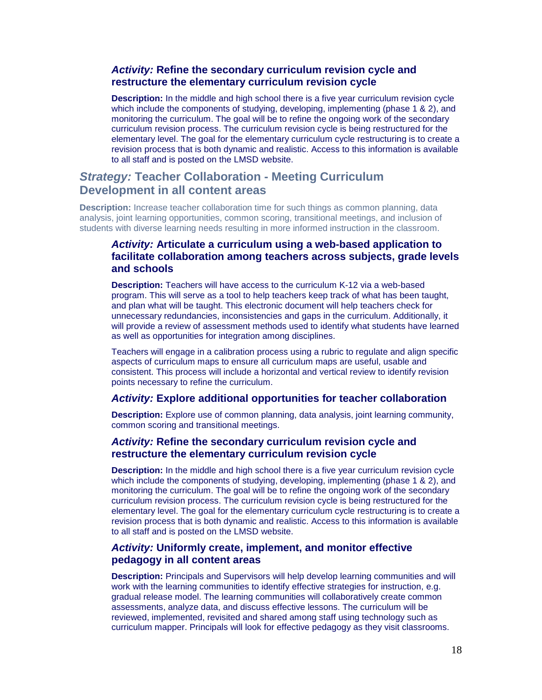### *Activity:* **Refine the secondary curriculum revision cycle and restructure the elementary curriculum revision cycle**

**Description:** In the middle and high school there is a five year curriculum revision cycle which include the components of studying, developing, implementing (phase 1 & 2), and monitoring the curriculum. The goal will be to refine the ongoing work of the secondary curriculum revision process. The curriculum revision cycle is being restructured for the elementary level. The goal for the elementary curriculum cycle restructuring is to create a revision process that is both dynamic and realistic. Access to this information is available to all staff and is posted on the LMSD website.

# *Strategy:* **Teacher Collaboration - Meeting Curriculum Development in all content areas**

**Description:** Increase teacher collaboration time for such things as common planning, data analysis, joint learning opportunities, common scoring, transitional meetings, and inclusion of students with diverse learning needs resulting in more informed instruction in the classroom.

# *Activity:* **Articulate a curriculum using a web-based application to facilitate collaboration among teachers across subjects, grade levels and schools**

**Description:** Teachers will have access to the curriculum K-12 via a web-based program. This will serve as a tool to help teachers keep track of what has been taught, and plan what will be taught. This electronic document will help teachers check for unnecessary redundancies, inconsistencies and gaps in the curriculum. Additionally, it will provide a review of assessment methods used to identify what students have learned as well as opportunities for integration among disciplines.

Teachers will engage in a calibration process using a rubric to regulate and align specific aspects of curriculum maps to ensure all curriculum maps are useful, usable and consistent. This process will include a horizontal and vertical review to identify revision points necessary to refine the curriculum.

#### *Activity:* **Explore additional opportunities for teacher collaboration**

**Description:** Explore use of common planning, data analysis, joint learning community, common scoring and transitional meetings.

#### *Activity:* **Refine the secondary curriculum revision cycle and restructure the elementary curriculum revision cycle**

**Description:** In the middle and high school there is a five year curriculum revision cycle which include the components of studying, developing, implementing (phase 1 & 2), and monitoring the curriculum. The goal will be to refine the ongoing work of the secondary curriculum revision process. The curriculum revision cycle is being restructured for the elementary level. The goal for the elementary curriculum cycle restructuring is to create a revision process that is both dynamic and realistic. Access to this information is available to all staff and is posted on the LMSD website.

#### *Activity:* **Uniformly create, implement, and monitor effective pedagogy in all content areas**

**Description:** Principals and Supervisors will help develop learning communities and will work with the learning communities to identify effective strategies for instruction, e.g. gradual release model. The learning communities will collaboratively create common assessments, analyze data, and discuss effective lessons. The curriculum will be reviewed, implemented, revisited and shared among staff using technology such as curriculum mapper. Principals will look for effective pedagogy as they visit classrooms.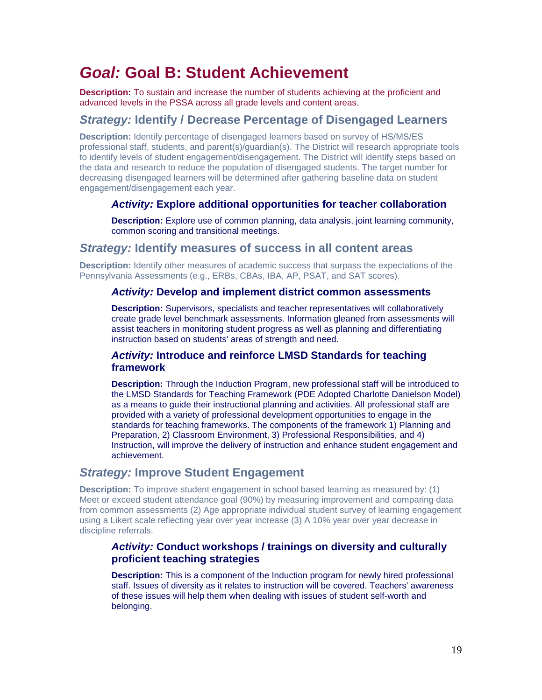# *Goal:* **Goal B: Student Achievement**

**Description:** To sustain and increase the number of students achieving at the proficient and advanced levels in the PSSA across all grade levels and content areas.

# *Strategy:* **Identify / Decrease Percentage of Disengaged Learners**

**Description:** Identify percentage of disengaged learners based on survey of HS/MS/ES professional staff, students, and parent(s)/guardian(s). The District will research appropriate tools to identify levels of student engagement/disengagement. The District will identify steps based on the data and research to reduce the population of disengaged students. The target number for decreasing disengaged learners will be determined after gathering baseline data on student engagement/disengagement each year.

# *Activity:* **Explore additional opportunities for teacher collaboration**

**Description:** Explore use of common planning, data analysis, joint learning community, common scoring and transitional meetings.

# *Strategy:* **Identify measures of success in all content areas**

**Description:** Identify other measures of academic success that surpass the expectations of the Pennsylvania Assessments (e.g., ERBs, CBAs, IBA, AP, PSAT, and SAT scores).

#### *Activity:* **Develop and implement district common assessments**

**Description:** Supervisors, specialists and teacher representatives will collaboratively create grade level benchmark assessments. Information gleaned from assessments will assist teachers in monitoring student progress as well as planning and differentiating instruction based on students' areas of strength and need.

## *Activity:* **Introduce and reinforce LMSD Standards for teaching framework**

**Description:** Through the Induction Program, new professional staff will be introduced to the LMSD Standards for Teaching Framework (PDE Adopted Charlotte Danielson Model) as a means to guide their instructional planning and activities. All professional staff are provided with a variety of professional development opportunities to engage in the standards for teaching frameworks. The components of the framework 1) Planning and Preparation, 2) Classroom Environment, 3) Professional Responsibilities, and 4) Instruction, will improve the delivery of instruction and enhance student engagement and achievement.

# *Strategy:* **Improve Student Engagement**

**Description:** To improve student engagement in school based learning as measured by: (1) Meet or exceed student attendance goal (90%) by measuring improvement and comparing data from common assessments (2) Age appropriate individual student survey of learning engagement using a Likert scale reflecting year over year increase (3) A 10% year over year decrease in discipline referrals.

## *Activity:* **Conduct workshops / trainings on diversity and culturally proficient teaching strategies**

**Description:** This is a component of the Induction program for newly hired professional staff. Issues of diversity as it relates to instruction will be covered. Teachers' awareness of these issues will help them when dealing with issues of student self-worth and belonging.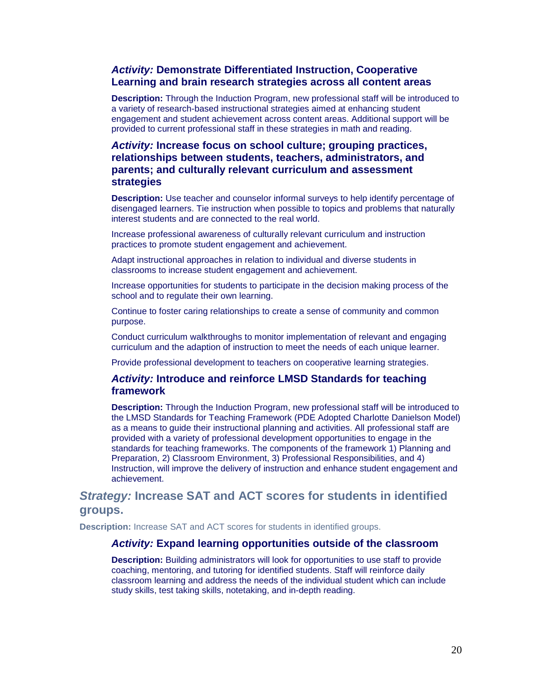## *Activity:* **Demonstrate Differentiated Instruction, Cooperative Learning and brain research strategies across all content areas**

**Description:** Through the Induction Program, new professional staff will be introduced to a variety of research-based instructional strategies aimed at enhancing student engagement and student achievement across content areas. Additional support will be provided to current professional staff in these strategies in math and reading.

## *Activity:* **Increase focus on school culture; grouping practices, relationships between students, teachers, administrators, and parents; and culturally relevant curriculum and assessment strategies**

**Description:** Use teacher and counselor informal surveys to help identify percentage of disengaged learners. Tie instruction when possible to topics and problems that naturally interest students and are connected to the real world.

Increase professional awareness of culturally relevant curriculum and instruction practices to promote student engagement and achievement.

Adapt instructional approaches in relation to individual and diverse students in classrooms to increase student engagement and achievement.

Increase opportunities for students to participate in the decision making process of the school and to regulate their own learning.

Continue to foster caring relationships to create a sense of community and common purpose.

Conduct curriculum walkthroughs to monitor implementation of relevant and engaging curriculum and the adaption of instruction to meet the needs of each unique learner.

Provide professional development to teachers on cooperative learning strategies.

#### *Activity:* **Introduce and reinforce LMSD Standards for teaching framework**

**Description:** Through the Induction Program, new professional staff will be introduced to the LMSD Standards for Teaching Framework (PDE Adopted Charlotte Danielson Model) as a means to guide their instructional planning and activities. All professional staff are provided with a variety of professional development opportunities to engage in the standards for teaching frameworks. The components of the framework 1) Planning and Preparation, 2) Classroom Environment, 3) Professional Responsibilities, and 4) Instruction, will improve the delivery of instruction and enhance student engagement and achievement.

# *Strategy:* **Increase SAT and ACT scores for students in identified groups.**

**Description:** Increase SAT and ACT scores for students in identified groups.

#### *Activity:* **Expand learning opportunities outside of the classroom**

**Description:** Building administrators will look for opportunities to use staff to provide coaching, mentoring, and tutoring for identified students. Staff will reinforce daily classroom learning and address the needs of the individual student which can include study skills, test taking skills, notetaking, and in-depth reading.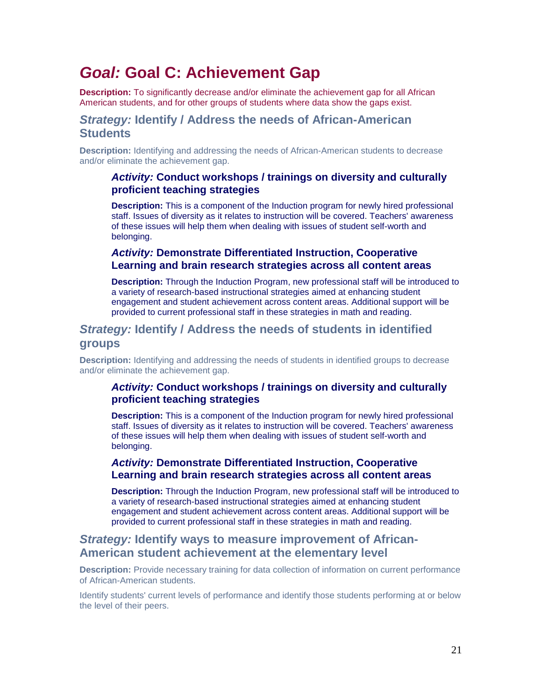# *Goal:* **Goal C: Achievement Gap**

**Description:** To significantly decrease and/or eliminate the achievement gap for all African American students, and for other groups of students where data show the gaps exist.

# *Strategy:* **Identify / Address the needs of African-American Students**

**Description:** Identifying and addressing the needs of African-American students to decrease and/or eliminate the achievement gap.

## *Activity:* **Conduct workshops / trainings on diversity and culturally proficient teaching strategies**

**Description:** This is a component of the Induction program for newly hired professional staff. Issues of diversity as it relates to instruction will be covered. Teachers' awareness of these issues will help them when dealing with issues of student self-worth and belonging.

# *Activity:* **Demonstrate Differentiated Instruction, Cooperative Learning and brain research strategies across all content areas**

**Description:** Through the Induction Program, new professional staff will be introduced to a variety of research-based instructional strategies aimed at enhancing student engagement and student achievement across content areas. Additional support will be provided to current professional staff in these strategies in math and reading.

# *Strategy:* **Identify / Address the needs of students in identified groups**

**Description:** Identifying and addressing the needs of students in identified groups to decrease and/or eliminate the achievement gap.

# *Activity:* **Conduct workshops / trainings on diversity and culturally proficient teaching strategies**

**Description:** This is a component of the Induction program for newly hired professional staff. Issues of diversity as it relates to instruction will be covered. Teachers' awareness of these issues will help them when dealing with issues of student self-worth and belonging.

# *Activity:* **Demonstrate Differentiated Instruction, Cooperative Learning and brain research strategies across all content areas**

**Description:** Through the Induction Program, new professional staff will be introduced to a variety of research-based instructional strategies aimed at enhancing student engagement and student achievement across content areas. Additional support will be provided to current professional staff in these strategies in math and reading.

# *Strategy:* **Identify ways to measure improvement of African-American student achievement at the elementary level**

**Description:** Provide necessary training for data collection of information on current performance of African-American students.

Identify students' current levels of performance and identify those students performing at or below the level of their peers.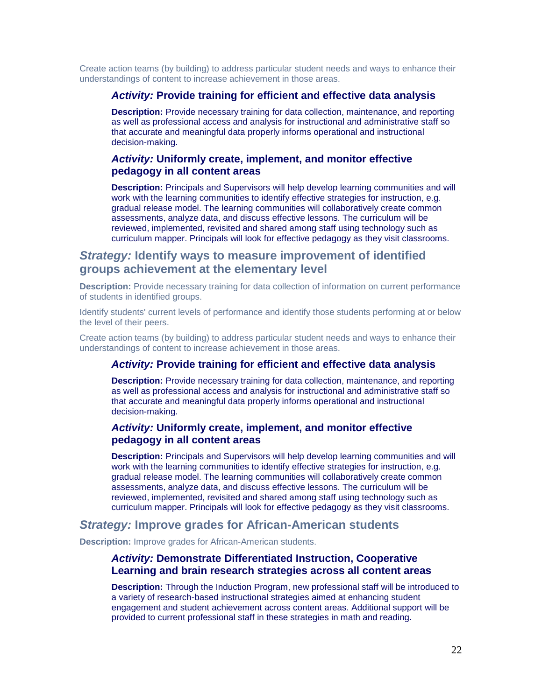Create action teams (by building) to address particular student needs and ways to enhance their understandings of content to increase achievement in those areas.

#### *Activity:* **Provide training for efficient and effective data analysis**

**Description:** Provide necessary training for data collection, maintenance, and reporting as well as professional access and analysis for instructional and administrative staff so that accurate and meaningful data properly informs operational and instructional decision-making.

### *Activity:* **Uniformly create, implement, and monitor effective pedagogy in all content areas**

**Description:** Principals and Supervisors will help develop learning communities and will work with the learning communities to identify effective strategies for instruction, e.g. gradual release model. The learning communities will collaboratively create common assessments, analyze data, and discuss effective lessons. The curriculum will be reviewed, implemented, revisited and shared among staff using technology such as curriculum mapper. Principals will look for effective pedagogy as they visit classrooms.

# *Strategy:* **Identify ways to measure improvement of identified groups achievement at the elementary level**

**Description:** Provide necessary training for data collection of information on current performance of students in identified groups.

Identify students' current levels of performance and identify those students performing at or below the level of their peers.

Create action teams (by building) to address particular student needs and ways to enhance their understandings of content to increase achievement in those areas.

## *Activity:* **Provide training for efficient and effective data analysis**

**Description:** Provide necessary training for data collection, maintenance, and reporting as well as professional access and analysis for instructional and administrative staff so that accurate and meaningful data properly informs operational and instructional decision-making.

## *Activity:* **Uniformly create, implement, and monitor effective pedagogy in all content areas**

**Description:** Principals and Supervisors will help develop learning communities and will work with the learning communities to identify effective strategies for instruction, e.g. gradual release model. The learning communities will collaboratively create common assessments, analyze data, and discuss effective lessons. The curriculum will be reviewed, implemented, revisited and shared among staff using technology such as curriculum mapper. Principals will look for effective pedagogy as they visit classrooms.

## *Strategy:* **Improve grades for African-American students**

**Description:** Improve grades for African-American students.

#### *Activity:* **Demonstrate Differentiated Instruction, Cooperative Learning and brain research strategies across all content areas**

**Description:** Through the Induction Program, new professional staff will be introduced to a variety of research-based instructional strategies aimed at enhancing student engagement and student achievement across content areas. Additional support will be provided to current professional staff in these strategies in math and reading.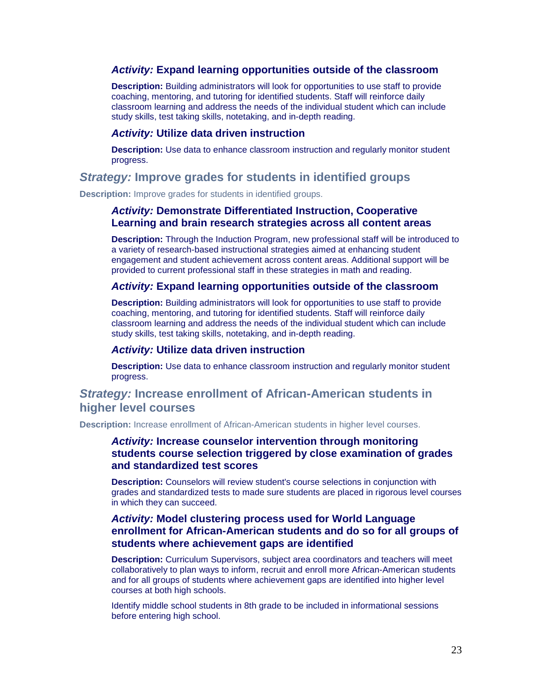### *Activity:* **Expand learning opportunities outside of the classroom**

**Description:** Building administrators will look for opportunities to use staff to provide coaching, mentoring, and tutoring for identified students. Staff will reinforce daily classroom learning and address the needs of the individual student which can include study skills, test taking skills, notetaking, and in-depth reading.

#### *Activity:* **Utilize data driven instruction**

**Description:** Use data to enhance classroom instruction and regularly monitor student progress.

## *Strategy:* **Improve grades for students in identified groups**

**Description:** Improve grades for students in identified groups.

#### *Activity:* **Demonstrate Differentiated Instruction, Cooperative Learning and brain research strategies across all content areas**

**Description:** Through the Induction Program, new professional staff will be introduced to a variety of research-based instructional strategies aimed at enhancing student engagement and student achievement across content areas. Additional support will be provided to current professional staff in these strategies in math and reading.

#### *Activity:* **Expand learning opportunities outside of the classroom**

**Description:** Building administrators will look for opportunities to use staff to provide coaching, mentoring, and tutoring for identified students. Staff will reinforce daily classroom learning and address the needs of the individual student which can include study skills, test taking skills, notetaking, and in-depth reading.

#### *Activity:* **Utilize data driven instruction**

**Description:** Use data to enhance classroom instruction and regularly monitor student progress.

# *Strategy:* **Increase enrollment of African-American students in higher level courses**

**Description:** Increase enrollment of African-American students in higher level courses.

### *Activity:* **Increase counselor intervention through monitoring students course selection triggered by close examination of grades and standardized test scores**

**Description:** Counselors will review student's course selections in conjunction with grades and standardized tests to made sure students are placed in rigorous level courses in which they can succeed.

## *Activity:* **Model clustering process used for World Language enrollment for African-American students and do so for all groups of students where achievement gaps are identified**

**Description:** Curriculum Supervisors, subject area coordinators and teachers will meet collaboratively to plan ways to inform, recruit and enroll more African-American students and for all groups of students where achievement gaps are identified into higher level courses at both high schools.

Identify middle school students in 8th grade to be included in informational sessions before entering high school.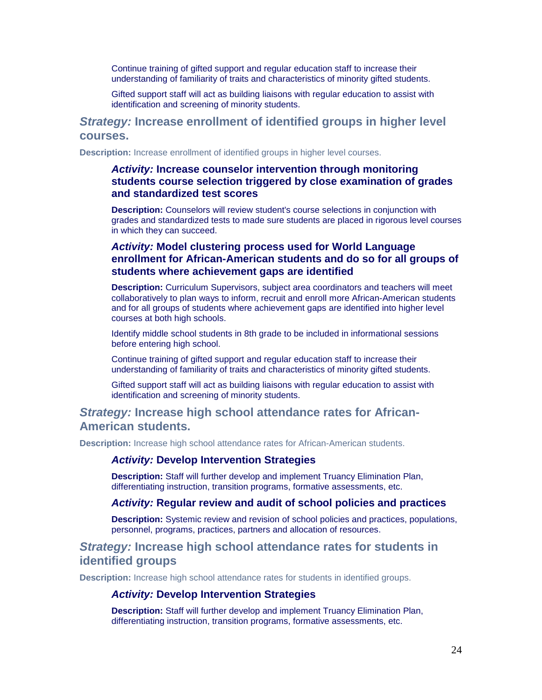Continue training of gifted support and regular education staff to increase their understanding of familiarity of traits and characteristics of minority gifted students.

Gifted support staff will act as building liaisons with regular education to assist with identification and screening of minority students.

# *Strategy:* **Increase enrollment of identified groups in higher level courses.**

**Description:** Increase enrollment of identified groups in higher level courses.

## *Activity:* **Increase counselor intervention through monitoring students course selection triggered by close examination of grades and standardized test scores**

**Description:** Counselors will review student's course selections in conjunction with grades and standardized tests to made sure students are placed in rigorous level courses in which they can succeed.

# *Activity:* **Model clustering process used for World Language enrollment for African-American students and do so for all groups of students where achievement gaps are identified**

**Description:** Curriculum Supervisors, subject area coordinators and teachers will meet collaboratively to plan ways to inform, recruit and enroll more African-American students and for all groups of students where achievement gaps are identified into higher level courses at both high schools.

Identify middle school students in 8th grade to be included in informational sessions before entering high school.

Continue training of gifted support and regular education staff to increase their understanding of familiarity of traits and characteristics of minority gifted students.

Gifted support staff will act as building liaisons with regular education to assist with identification and screening of minority students.

# *Strategy:* **Increase high school attendance rates for African-American students.**

**Description:** Increase high school attendance rates for African-American students.

#### *Activity:* **Develop Intervention Strategies**

**Description:** Staff will further develop and implement Truancy Elimination Plan, differentiating instruction, transition programs, formative assessments, etc.

#### *Activity:* **Regular review and audit of school policies and practices**

**Description:** Systemic review and revision of school policies and practices, populations, personnel, programs, practices, partners and allocation of resources.

# *Strategy:* **Increase high school attendance rates for students in identified groups**

**Description:** Increase high school attendance rates for students in identified groups.

#### *Activity:* **Develop Intervention Strategies**

**Description:** Staff will further develop and implement Truancy Elimination Plan, differentiating instruction, transition programs, formative assessments, etc.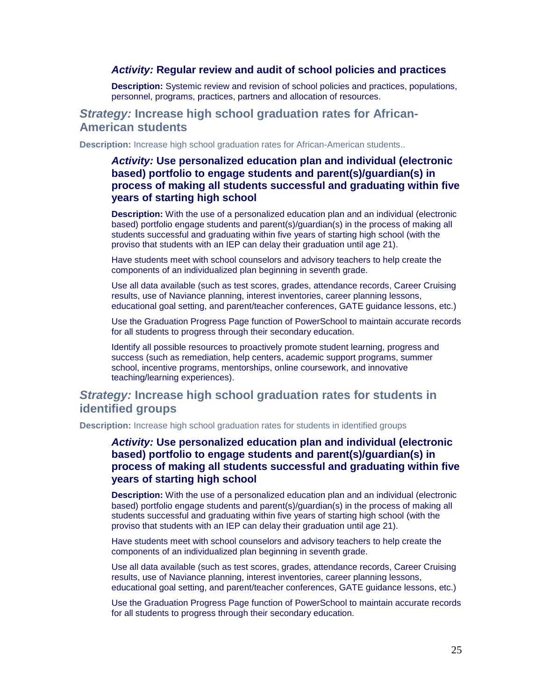#### *Activity:* **Regular review and audit of school policies and practices**

**Description:** Systemic review and revision of school policies and practices, populations, personnel, programs, practices, partners and allocation of resources.

## *Strategy:* **Increase high school graduation rates for African-American students**

**Description:** Increase high school graduation rates for African-American students..

# *Activity:* **Use personalized education plan and individual (electronic based) portfolio to engage students and parent(s)/guardian(s) in process of making all students successful and graduating within five years of starting high school**

**Description:** With the use of a personalized education plan and an individual (electronic based) portfolio engage students and parent(s)/guardian(s) in the process of making all students successful and graduating within five years of starting high school (with the proviso that students with an IEP can delay their graduation until age 21).

Have students meet with school counselors and advisory teachers to help create the components of an individualized plan beginning in seventh grade.

Use all data available (such as test scores, grades, attendance records, Career Cruising results, use of Naviance planning, interest inventories, career planning lessons, educational goal setting, and parent/teacher conferences, GATE guidance lessons, etc.)

Use the Graduation Progress Page function of PowerSchool to maintain accurate records for all students to progress through their secondary education.

Identify all possible resources to proactively promote student learning, progress and success (such as remediation, help centers, academic support programs, summer school, incentive programs, mentorships, online coursework, and innovative teaching/learning experiences).

# *Strategy:* **Increase high school graduation rates for students in identified groups**

**Description:** Increase high school graduation rates for students in identified groups

*Activity:* **Use personalized education plan and individual (electronic based) portfolio to engage students and parent(s)/guardian(s) in process of making all students successful and graduating within five years of starting high school**

**Description:** With the use of a personalized education plan and an individual (electronic based) portfolio engage students and parent(s)/guardian(s) in the process of making all students successful and graduating within five years of starting high school (with the proviso that students with an IEP can delay their graduation until age 21).

Have students meet with school counselors and advisory teachers to help create the components of an individualized plan beginning in seventh grade.

Use all data available (such as test scores, grades, attendance records, Career Cruising results, use of Naviance planning, interest inventories, career planning lessons, educational goal setting, and parent/teacher conferences, GATE guidance lessons, etc.)

Use the Graduation Progress Page function of PowerSchool to maintain accurate records for all students to progress through their secondary education.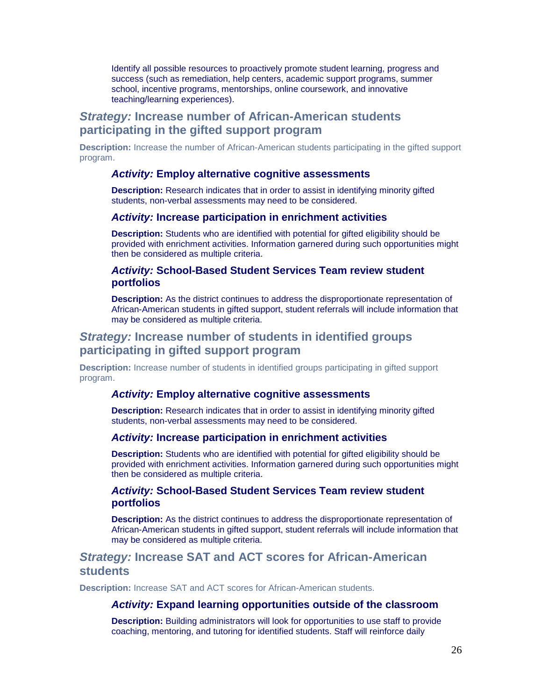Identify all possible resources to proactively promote student learning, progress and success (such as remediation, help centers, academic support programs, summer school, incentive programs, mentorships, online coursework, and innovative teaching/learning experiences).

# *Strategy:* **Increase number of African-American students participating in the gifted support program**

**Description:** Increase the number of African-American students participating in the gifted support program.

#### *Activity:* **Employ alternative cognitive assessments**

**Description:** Research indicates that in order to assist in identifying minority gifted students, non-verbal assessments may need to be considered.

#### *Activity:* **Increase participation in enrichment activities**

**Description:** Students who are identified with potential for gifted eligibility should be provided with enrichment activities. Information garnered during such opportunities might then be considered as multiple criteria.

#### *Activity:* **School-Based Student Services Team review student portfolios**

**Description:** As the district continues to address the disproportionate representation of African-American students in gifted support, student referrals will include information that may be considered as multiple criteria.

# *Strategy:* **Increase number of students in identified groups participating in gifted support program**

**Description:** Increase number of students in identified groups participating in gifted support program.

#### *Activity:* **Employ alternative cognitive assessments**

**Description:** Research indicates that in order to assist in identifying minority gifted students, non-verbal assessments may need to be considered.

### *Activity:* **Increase participation in enrichment activities**

**Description:** Students who are identified with potential for gifted eligibility should be provided with enrichment activities. Information garnered during such opportunities might then be considered as multiple criteria.

## *Activity:* **School-Based Student Services Team review student portfolios**

**Description:** As the district continues to address the disproportionate representation of African-American students in gifted support, student referrals will include information that may be considered as multiple criteria.

# *Strategy:* **Increase SAT and ACT scores for African-American students**

**Description:** Increase SAT and ACT scores for African-American students.

#### *Activity:* **Expand learning opportunities outside of the classroom**

**Description:** Building administrators will look for opportunities to use staff to provide coaching, mentoring, and tutoring for identified students. Staff will reinforce daily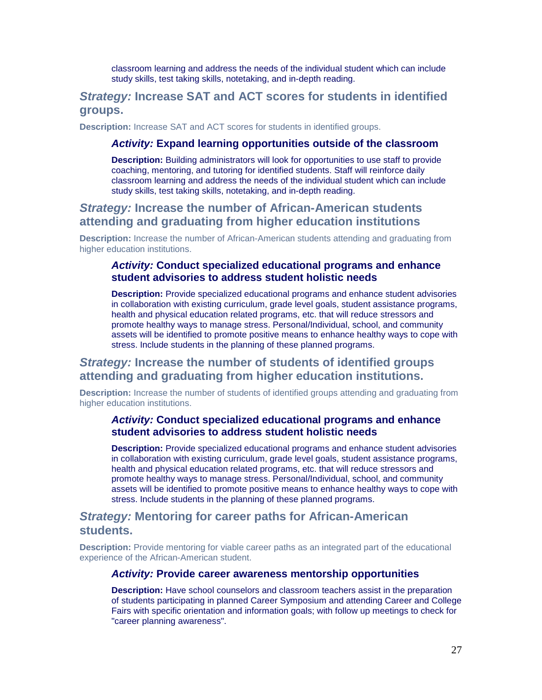classroom learning and address the needs of the individual student which can include study skills, test taking skills, notetaking, and in-depth reading.

# *Strategy:* **Increase SAT and ACT scores for students in identified groups.**

**Description:** Increase SAT and ACT scores for students in identified groups.

#### *Activity:* **Expand learning opportunities outside of the classroom**

**Description:** Building administrators will look for opportunities to use staff to provide coaching, mentoring, and tutoring for identified students. Staff will reinforce daily classroom learning and address the needs of the individual student which can include study skills, test taking skills, notetaking, and in-depth reading.

# *Strategy:* **Increase the number of African-American students attending and graduating from higher education institutions**

**Description:** Increase the number of African-American students attending and graduating from higher education institutions.

#### *Activity:* **Conduct specialized educational programs and enhance student advisories to address student holistic needs**

**Description:** Provide specialized educational programs and enhance student advisories in collaboration with existing curriculum, grade level goals, student assistance programs, health and physical education related programs, etc. that will reduce stressors and promote healthy ways to manage stress. Personal/Individual, school, and community assets will be identified to promote positive means to enhance healthy ways to cope with stress. Include students in the planning of these planned programs.

# *Strategy:* **Increase the number of students of identified groups attending and graduating from higher education institutions.**

**Description:** Increase the number of students of identified groups attending and graduating from higher education institutions.

#### *Activity:* **Conduct specialized educational programs and enhance student advisories to address student holistic needs**

**Description:** Provide specialized educational programs and enhance student advisories in collaboration with existing curriculum, grade level goals, student assistance programs, health and physical education related programs, etc. that will reduce stressors and promote healthy ways to manage stress. Personal/Individual, school, and community assets will be identified to promote positive means to enhance healthy ways to cope with stress. Include students in the planning of these planned programs.

# *Strategy:* **Mentoring for career paths for African-American students.**

**Description:** Provide mentoring for viable career paths as an integrated part of the educational experience of the African-American student.

#### *Activity:* **Provide career awareness mentorship opportunities**

**Description:** Have school counselors and classroom teachers assist in the preparation of students participating in planned Career Symposium and attending Career and College Fairs with specific orientation and information goals; with follow up meetings to check for "career planning awareness".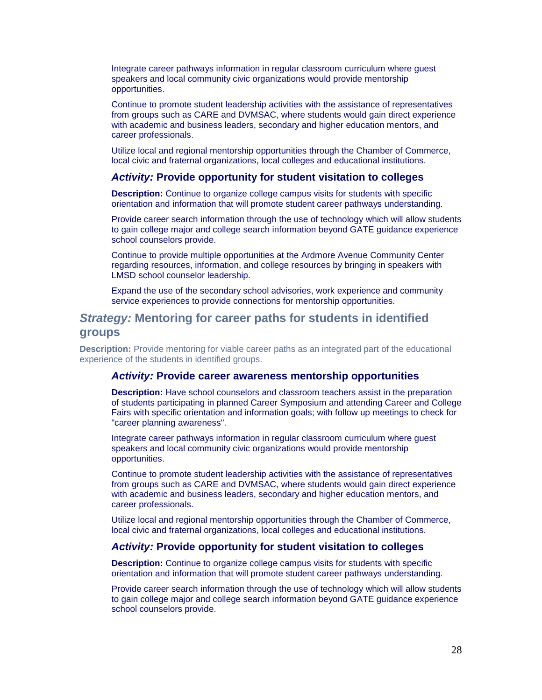Integrate career pathways information in regular classroom curriculum where guest speakers and local community civic organizations would provide mentorship opportunities.

Continue to promote student leadership activities with the assistance of representatives from groups such as CARE and DVMSAC, where students would gain direct experience with academic and business leaders, secondary and higher education mentors, and career professionals.

Utilize local and regional mentorship opportunities through the Chamber of Commerce, local civic and fraternal organizations, local colleges and educational institutions.

#### *Activity:* **Provide opportunity for student visitation to colleges**

**Description:** Continue to organize college campus visits for students with specific orientation and information that will promote student career pathways understanding.

Provide career search information through the use of technology which will allow students to gain college major and college search information beyond GATE guidance experience school counselors provide.

Continue to provide multiple opportunities at the Ardmore Avenue Community Center regarding resources, information, and college resources by bringing in speakers with LMSD school counselor leadership.

Expand the use of the secondary school advisories, work experience and community service experiences to provide connections for mentorship opportunities.

# *Strategy:* **Mentoring for career paths for students in identified groups**

**Description:** Provide mentoring for viable career paths as an integrated part of the educational experience of the students in identified groups.

#### *Activity:* **Provide career awareness mentorship opportunities**

**Description:** Have school counselors and classroom teachers assist in the preparation of students participating in planned Career Symposium and attending Career and College Fairs with specific orientation and information goals; with follow up meetings to check for "career planning awareness".

Integrate career pathways information in regular classroom curriculum where guest speakers and local community civic organizations would provide mentorship opportunities.

Continue to promote student leadership activities with the assistance of representatives from groups such as CARE and DVMSAC, where students would gain direct experience with academic and business leaders, secondary and higher education mentors, and career professionals.

Utilize local and regional mentorship opportunities through the Chamber of Commerce, local civic and fraternal organizations, local colleges and educational institutions.

#### *Activity:* **Provide opportunity for student visitation to colleges**

**Description:** Continue to organize college campus visits for students with specific orientation and information that will promote student career pathways understanding.

Provide career search information through the use of technology which will allow students to gain college major and college search information beyond GATE guidance experience school counselors provide.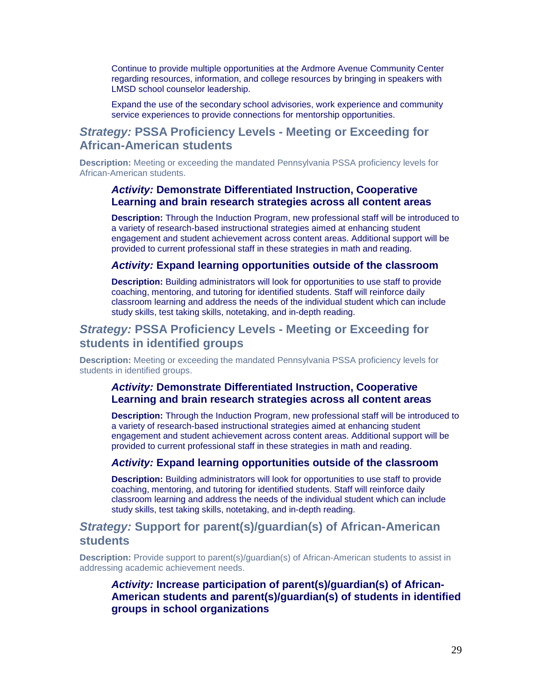Continue to provide multiple opportunities at the Ardmore Avenue Community Center regarding resources, information, and college resources by bringing in speakers with LMSD school counselor leadership.

Expand the use of the secondary school advisories, work experience and community service experiences to provide connections for mentorship opportunities.

# *Strategy:* **PSSA Proficiency Levels - Meeting or Exceeding for African-American students**

**Description:** Meeting or exceeding the mandated Pennsylvania PSSA proficiency levels for African-American students.

## *Activity:* **Demonstrate Differentiated Instruction, Cooperative Learning and brain research strategies across all content areas**

**Description:** Through the Induction Program, new professional staff will be introduced to a variety of research-based instructional strategies aimed at enhancing student engagement and student achievement across content areas. Additional support will be provided to current professional staff in these strategies in math and reading.

#### *Activity:* **Expand learning opportunities outside of the classroom**

**Description:** Building administrators will look for opportunities to use staff to provide coaching, mentoring, and tutoring for identified students. Staff will reinforce daily classroom learning and address the needs of the individual student which can include study skills, test taking skills, notetaking, and in-depth reading.

# *Strategy:* **PSSA Proficiency Levels - Meeting or Exceeding for students in identified groups**

**Description:** Meeting or exceeding the mandated Pennsylvania PSSA proficiency levels for students in identified groups.

### *Activity:* **Demonstrate Differentiated Instruction, Cooperative Learning and brain research strategies across all content areas**

**Description:** Through the Induction Program, new professional staff will be introduced to a variety of research-based instructional strategies aimed at enhancing student engagement and student achievement across content areas. Additional support will be provided to current professional staff in these strategies in math and reading.

#### *Activity:* **Expand learning opportunities outside of the classroom**

**Description:** Building administrators will look for opportunities to use staff to provide coaching, mentoring, and tutoring for identified students. Staff will reinforce daily classroom learning and address the needs of the individual student which can include study skills, test taking skills, notetaking, and in-depth reading.

# *Strategy:* **Support for parent(s)/guardian(s) of African-American students**

**Description:** Provide support to parent(s)/guardian(s) of African-American students to assist in addressing academic achievement needs.

## *Activity:* **Increase participation of parent(s)/guardian(s) of African-American students and parent(s)/guardian(s) of students in identified groups in school organizations**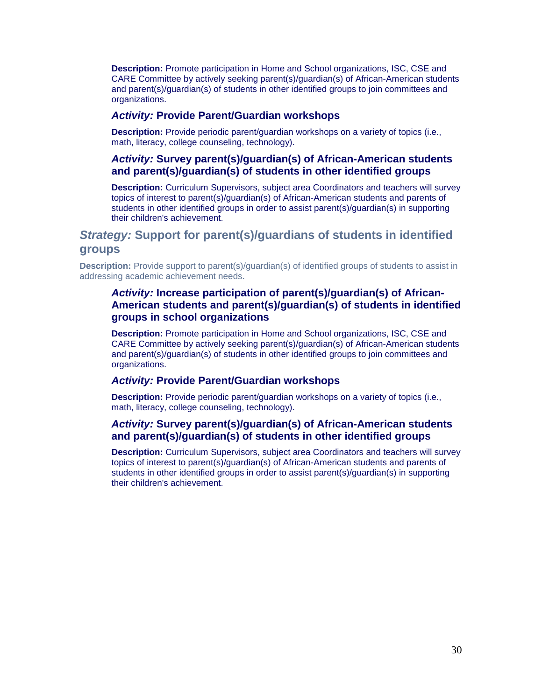**Description:** Promote participation in Home and School organizations, ISC, CSE and CARE Committee by actively seeking parent(s)/guardian(s) of African-American students and parent(s)/guardian(s) of students in other identified groups to join committees and organizations.

#### *Activity:* **Provide Parent/Guardian workshops**

**Description:** Provide periodic parent/guardian workshops on a variety of topics (i.e., math, literacy, college counseling, technology).

## *Activity:* **Survey parent(s)/guardian(s) of African-American students and parent(s)/guardian(s) of students in other identified groups**

**Description:** Curriculum Supervisors, subject area Coordinators and teachers will survey topics of interest to parent(s)/guardian(s) of African-American students and parents of students in other identified groups in order to assist parent(s)/guardian(s) in supporting their children's achievement.

# *Strategy:* **Support for parent(s)/guardians of students in identified groups**

**Description:** Provide support to parent(s)/guardian(s) of identified groups of students to assist in addressing academic achievement needs.

## *Activity:* **Increase participation of parent(s)/guardian(s) of African-American students and parent(s)/guardian(s) of students in identified groups in school organizations**

**Description:** Promote participation in Home and School organizations, ISC, CSE and CARE Committee by actively seeking parent(s)/guardian(s) of African-American students and parent(s)/guardian(s) of students in other identified groups to join committees and organizations.

#### *Activity:* **Provide Parent/Guardian workshops**

**Description:** Provide periodic parent/guardian workshops on a variety of topics (i.e., math, literacy, college counseling, technology).

## *Activity:* **Survey parent(s)/guardian(s) of African-American students and parent(s)/guardian(s) of students in other identified groups**

**Description:** Curriculum Supervisors, subject area Coordinators and teachers will survey topics of interest to parent(s)/guardian(s) of African-American students and parents of students in other identified groups in order to assist parent(s)/guardian(s) in supporting their children's achievement.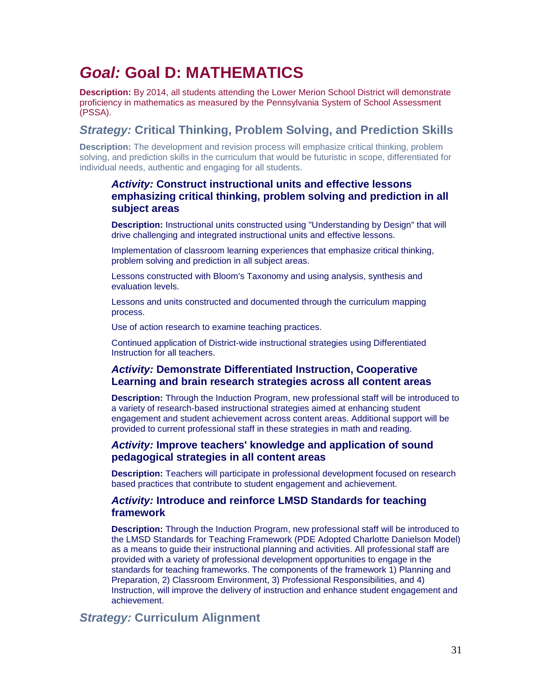# *Goal:* **Goal D: MATHEMATICS**

**Description:** By 2014, all students attending the Lower Merion School District will demonstrate proficiency in mathematics as measured by the Pennsylvania System of School Assessment (PSSA).

# *Strategy:* **Critical Thinking, Problem Solving, and Prediction Skills**

**Description:** The development and revision process will emphasize critical thinking, problem solving, and prediction skills in the curriculum that would be futuristic in scope, differentiated for individual needs, authentic and engaging for all students.

# *Activity:* **Construct instructional units and effective lessons emphasizing critical thinking, problem solving and prediction in all subject areas**

**Description:** Instructional units constructed using "Understanding by Design" that will drive challenging and integrated instructional units and effective lessons.

Implementation of classroom learning experiences that emphasize critical thinking, problem solving and prediction in all subject areas.

Lessons constructed with Bloom's Taxonomy and using analysis, synthesis and evaluation levels.

Lessons and units constructed and documented through the curriculum mapping process.

Use of action research to examine teaching practices.

Continued application of District-wide instructional strategies using Differentiated Instruction for all teachers.

# *Activity:* **Demonstrate Differentiated Instruction, Cooperative Learning and brain research strategies across all content areas**

**Description:** Through the Induction Program, new professional staff will be introduced to a variety of research-based instructional strategies aimed at enhancing student engagement and student achievement across content areas. Additional support will be provided to current professional staff in these strategies in math and reading.

## *Activity:* **Improve teachers' knowledge and application of sound pedagogical strategies in all content areas**

**Description:** Teachers will participate in professional development focused on research based practices that contribute to student engagement and achievement.

## *Activity:* **Introduce and reinforce LMSD Standards for teaching framework**

**Description:** Through the Induction Program, new professional staff will be introduced to the LMSD Standards for Teaching Framework (PDE Adopted Charlotte Danielson Model) as a means to guide their instructional planning and activities. All professional staff are provided with a variety of professional development opportunities to engage in the standards for teaching frameworks. The components of the framework 1) Planning and Preparation, 2) Classroom Environment, 3) Professional Responsibilities, and 4) Instruction, will improve the delivery of instruction and enhance student engagement and achievement.

# *Strategy:* **Curriculum Alignment**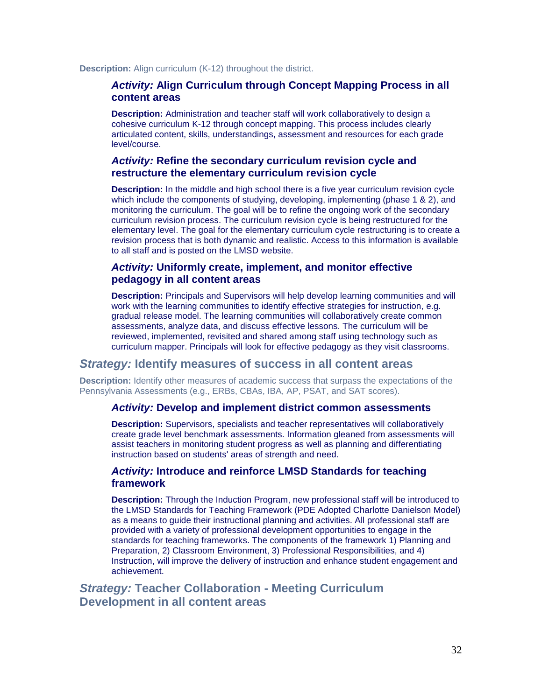**Description:** Align curriculum (K-12) throughout the district.

#### *Activity:* **Align Curriculum through Concept Mapping Process in all content areas**

**Description:** Administration and teacher staff will work collaboratively to design a cohesive curriculum K-12 through concept mapping. This process includes clearly articulated content, skills, understandings, assessment and resources for each grade level/course.

### *Activity:* **Refine the secondary curriculum revision cycle and restructure the elementary curriculum revision cycle**

**Description:** In the middle and high school there is a five year curriculum revision cycle which include the components of studying, developing, implementing (phase 1 & 2), and monitoring the curriculum. The goal will be to refine the ongoing work of the secondary curriculum revision process. The curriculum revision cycle is being restructured for the elementary level. The goal for the elementary curriculum cycle restructuring is to create a revision process that is both dynamic and realistic. Access to this information is available to all staff and is posted on the LMSD website.

## *Activity:* **Uniformly create, implement, and monitor effective pedagogy in all content areas**

**Description:** Principals and Supervisors will help develop learning communities and will work with the learning communities to identify effective strategies for instruction, e.g. gradual release model. The learning communities will collaboratively create common assessments, analyze data, and discuss effective lessons. The curriculum will be reviewed, implemented, revisited and shared among staff using technology such as curriculum mapper. Principals will look for effective pedagogy as they visit classrooms.

#### *Strategy:* **Identify measures of success in all content areas**

**Description:** Identify other measures of academic success that surpass the expectations of the Pennsylvania Assessments (e.g., ERBs, CBAs, IBA, AP, PSAT, and SAT scores).

#### *Activity:* **Develop and implement district common assessments**

**Description:** Supervisors, specialists and teacher representatives will collaboratively create grade level benchmark assessments. Information gleaned from assessments will assist teachers in monitoring student progress as well as planning and differentiating instruction based on students' areas of strength and need.

#### *Activity:* **Introduce and reinforce LMSD Standards for teaching framework**

**Description:** Through the Induction Program, new professional staff will be introduced to the LMSD Standards for Teaching Framework (PDE Adopted Charlotte Danielson Model) as a means to guide their instructional planning and activities. All professional staff are provided with a variety of professional development opportunities to engage in the standards for teaching frameworks. The components of the framework 1) Planning and Preparation, 2) Classroom Environment, 3) Professional Responsibilities, and 4) Instruction, will improve the delivery of instruction and enhance student engagement and achievement.

# *Strategy:* **Teacher Collaboration - Meeting Curriculum Development in all content areas**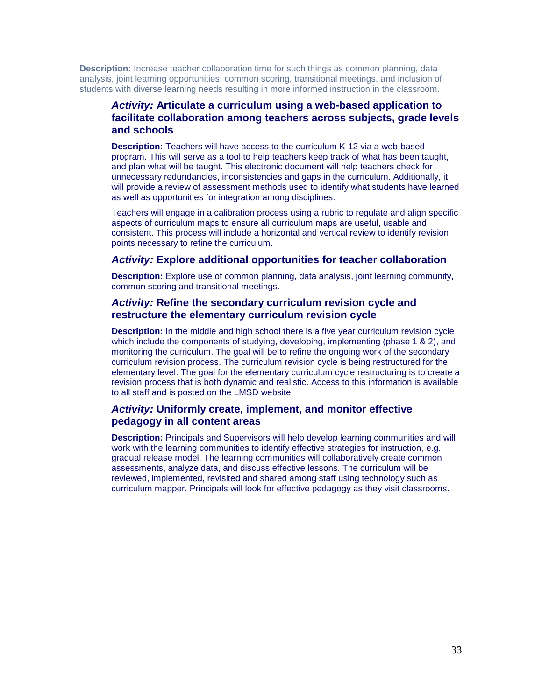**Description:** Increase teacher collaboration time for such things as common planning, data analysis, joint learning opportunities, common scoring, transitional meetings, and inclusion of students with diverse learning needs resulting in more informed instruction in the classroom.

## *Activity:* **Articulate a curriculum using a web-based application to facilitate collaboration among teachers across subjects, grade levels and schools**

**Description:** Teachers will have access to the curriculum K-12 via a web-based program. This will serve as a tool to help teachers keep track of what has been taught, and plan what will be taught. This electronic document will help teachers check for unnecessary redundancies, inconsistencies and gaps in the curriculum. Additionally, it will provide a review of assessment methods used to identify what students have learned as well as opportunities for integration among disciplines.

Teachers will engage in a calibration process using a rubric to regulate and align specific aspects of curriculum maps to ensure all curriculum maps are useful, usable and consistent. This process will include a horizontal and vertical review to identify revision points necessary to refine the curriculum.

#### *Activity:* **Explore additional opportunities for teacher collaboration**

**Description:** Explore use of common planning, data analysis, joint learning community, common scoring and transitional meetings.

# *Activity:* **Refine the secondary curriculum revision cycle and restructure the elementary curriculum revision cycle**

**Description:** In the middle and high school there is a five year curriculum revision cycle which include the components of studying, developing, implementing (phase 1 & 2), and monitoring the curriculum. The goal will be to refine the ongoing work of the secondary curriculum revision process. The curriculum revision cycle is being restructured for the elementary level. The goal for the elementary curriculum cycle restructuring is to create a revision process that is both dynamic and realistic. Access to this information is available to all staff and is posted on the LMSD website.

## *Activity:* **Uniformly create, implement, and monitor effective pedagogy in all content areas**

**Description:** Principals and Supervisors will help develop learning communities and will work with the learning communities to identify effective strategies for instruction, e.g. gradual release model. The learning communities will collaboratively create common assessments, analyze data, and discuss effective lessons. The curriculum will be reviewed, implemented, revisited and shared among staff using technology such as curriculum mapper. Principals will look for effective pedagogy as they visit classrooms.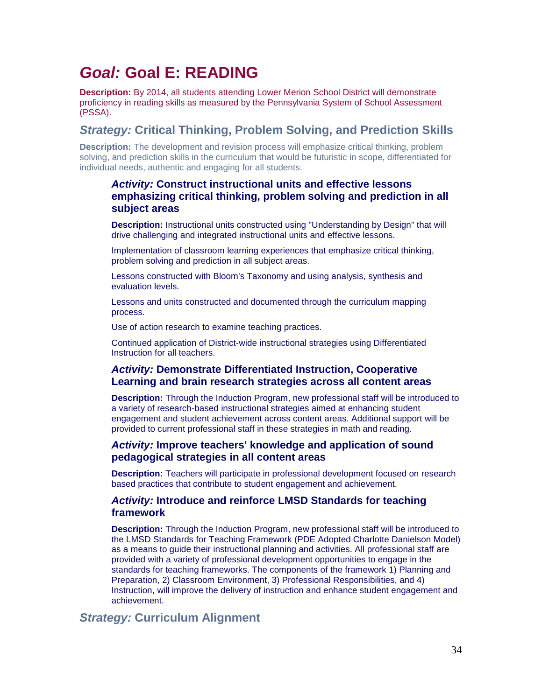# *Goal:* **Goal E: READING**

**Description:** By 2014, all students attending Lower Merion School District will demonstrate proficiency in reading skills as measured by the Pennsylvania System of School Assessment (PSSA).

# *Strategy:* **Critical Thinking, Problem Solving, and Prediction Skills**

**Description:** The development and revision process will emphasize critical thinking, problem solving, and prediction skills in the curriculum that would be futuristic in scope, differentiated for individual needs, authentic and engaging for all students.

# *Activity:* **Construct instructional units and effective lessons emphasizing critical thinking, problem solving and prediction in all subject areas**

**Description:** Instructional units constructed using "Understanding by Design" that will drive challenging and integrated instructional units and effective lessons.

Implementation of classroom learning experiences that emphasize critical thinking, problem solving and prediction in all subject areas.

Lessons constructed with Bloom's Taxonomy and using analysis, synthesis and evaluation levels.

Lessons and units constructed and documented through the curriculum mapping process.

Use of action research to examine teaching practices.

Continued application of District-wide instructional strategies using Differentiated Instruction for all teachers.

# *Activity:* **Demonstrate Differentiated Instruction, Cooperative Learning and brain research strategies across all content areas**

**Description:** Through the Induction Program, new professional staff will be introduced to a variety of research-based instructional strategies aimed at enhancing student engagement and student achievement across content areas. Additional support will be provided to current professional staff in these strategies in math and reading.

## *Activity:* **Improve teachers' knowledge and application of sound pedagogical strategies in all content areas**

**Description:** Teachers will participate in professional development focused on research based practices that contribute to student engagement and achievement.

## *Activity:* **Introduce and reinforce LMSD Standards for teaching framework**

**Description:** Through the Induction Program, new professional staff will be introduced to the LMSD Standards for Teaching Framework (PDE Adopted Charlotte Danielson Model) as a means to guide their instructional planning and activities. All professional staff are provided with a variety of professional development opportunities to engage in the standards for teaching frameworks. The components of the framework 1) Planning and Preparation, 2) Classroom Environment, 3) Professional Responsibilities, and 4) Instruction, will improve the delivery of instruction and enhance student engagement and achievement.

# *Strategy:* **Curriculum Alignment**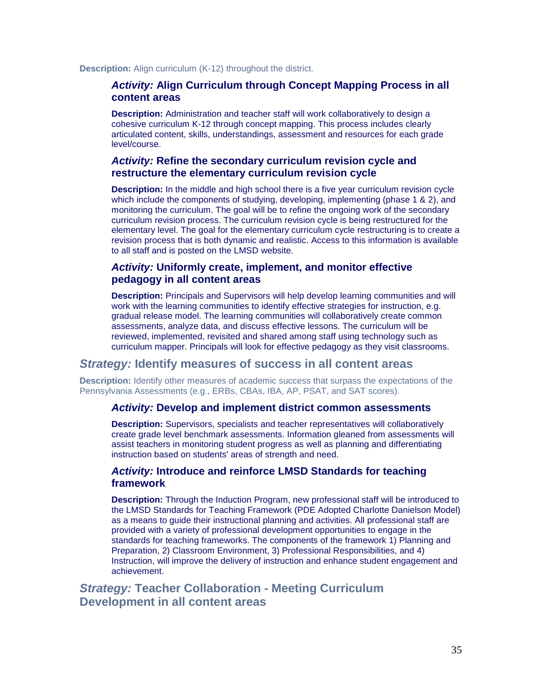**Description:** Align curriculum (K-12) throughout the district.

#### *Activity:* **Align Curriculum through Concept Mapping Process in all content areas**

**Description:** Administration and teacher staff will work collaboratively to design a cohesive curriculum K-12 through concept mapping. This process includes clearly articulated content, skills, understandings, assessment and resources for each grade level/course.

### *Activity:* **Refine the secondary curriculum revision cycle and restructure the elementary curriculum revision cycle**

**Description:** In the middle and high school there is a five year curriculum revision cycle which include the components of studying, developing, implementing (phase 1 & 2), and monitoring the curriculum. The goal will be to refine the ongoing work of the secondary curriculum revision process. The curriculum revision cycle is being restructured for the elementary level. The goal for the elementary curriculum cycle restructuring is to create a revision process that is both dynamic and realistic. Access to this information is available to all staff and is posted on the LMSD website.

## *Activity:* **Uniformly create, implement, and monitor effective pedagogy in all content areas**

**Description:** Principals and Supervisors will help develop learning communities and will work with the learning communities to identify effective strategies for instruction, e.g. gradual release model. The learning communities will collaboratively create common assessments, analyze data, and discuss effective lessons. The curriculum will be reviewed, implemented, revisited and shared among staff using technology such as curriculum mapper. Principals will look for effective pedagogy as they visit classrooms.

#### *Strategy:* **Identify measures of success in all content areas**

**Description:** Identify other measures of academic success that surpass the expectations of the Pennsylvania Assessments (e.g., ERBs, CBAs, IBA, AP, PSAT, and SAT scores).

#### *Activity:* **Develop and implement district common assessments**

**Description:** Supervisors, specialists and teacher representatives will collaboratively create grade level benchmark assessments. Information gleaned from assessments will assist teachers in monitoring student progress as well as planning and differentiating instruction based on students' areas of strength and need.

#### *Activity:* **Introduce and reinforce LMSD Standards for teaching framework**

**Description:** Through the Induction Program, new professional staff will be introduced to the LMSD Standards for Teaching Framework (PDE Adopted Charlotte Danielson Model) as a means to guide their instructional planning and activities. All professional staff are provided with a variety of professional development opportunities to engage in the standards for teaching frameworks. The components of the framework 1) Planning and Preparation, 2) Classroom Environment, 3) Professional Responsibilities, and 4) Instruction, will improve the delivery of instruction and enhance student engagement and achievement.

# *Strategy:* **Teacher Collaboration - Meeting Curriculum Development in all content areas**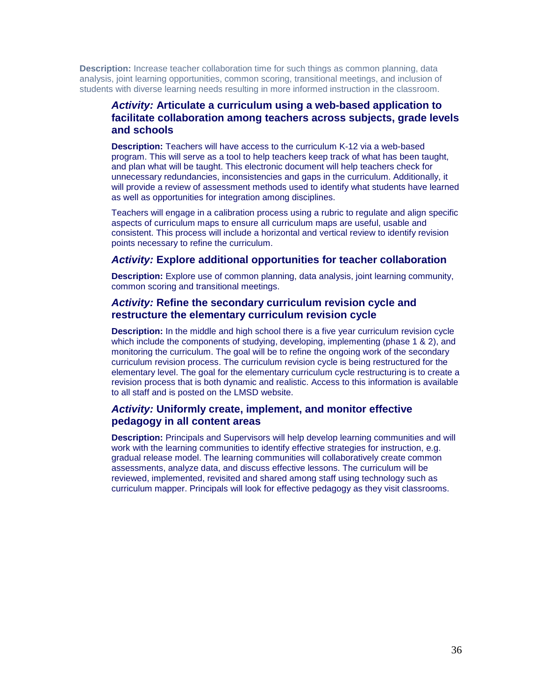**Description:** Increase teacher collaboration time for such things as common planning, data analysis, joint learning opportunities, common scoring, transitional meetings, and inclusion of students with diverse learning needs resulting in more informed instruction in the classroom.

## *Activity:* **Articulate a curriculum using a web-based application to facilitate collaboration among teachers across subjects, grade levels and schools**

**Description:** Teachers will have access to the curriculum K-12 via a web-based program. This will serve as a tool to help teachers keep track of what has been taught, and plan what will be taught. This electronic document will help teachers check for unnecessary redundancies, inconsistencies and gaps in the curriculum. Additionally, it will provide a review of assessment methods used to identify what students have learned as well as opportunities for integration among disciplines.

Teachers will engage in a calibration process using a rubric to regulate and align specific aspects of curriculum maps to ensure all curriculum maps are useful, usable and consistent. This process will include a horizontal and vertical review to identify revision points necessary to refine the curriculum.

#### *Activity:* **Explore additional opportunities for teacher collaboration**

**Description:** Explore use of common planning, data analysis, joint learning community, common scoring and transitional meetings.

# *Activity:* **Refine the secondary curriculum revision cycle and restructure the elementary curriculum revision cycle**

**Description:** In the middle and high school there is a five year curriculum revision cycle which include the components of studying, developing, implementing (phase 1 & 2), and monitoring the curriculum. The goal will be to refine the ongoing work of the secondary curriculum revision process. The curriculum revision cycle is being restructured for the elementary level. The goal for the elementary curriculum cycle restructuring is to create a revision process that is both dynamic and realistic. Access to this information is available to all staff and is posted on the LMSD website.

## *Activity:* **Uniformly create, implement, and monitor effective pedagogy in all content areas**

**Description:** Principals and Supervisors will help develop learning communities and will work with the learning communities to identify effective strategies for instruction, e.g. gradual release model. The learning communities will collaboratively create common assessments, analyze data, and discuss effective lessons. The curriculum will be reviewed, implemented, revisited and shared among staff using technology such as curriculum mapper. Principals will look for effective pedagogy as they visit classrooms.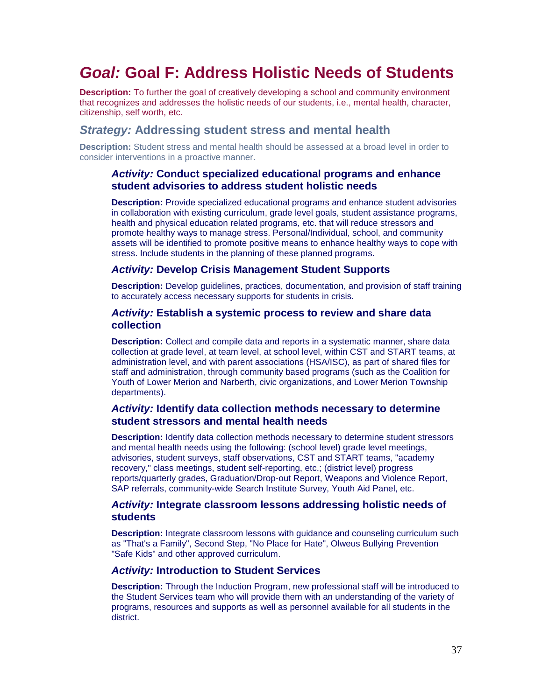# *Goal:* **Goal F: Address Holistic Needs of Students**

**Description:** To further the goal of creatively developing a school and community environment that recognizes and addresses the holistic needs of our students, i.e., mental health, character, citizenship, self worth, etc.

# *Strategy:* **Addressing student stress and mental health**

**Description:** Student stress and mental health should be assessed at a broad level in order to consider interventions in a proactive manner.

#### *Activity:* **Conduct specialized educational programs and enhance student advisories to address student holistic needs**

**Description:** Provide specialized educational programs and enhance student advisories in collaboration with existing curriculum, grade level goals, student assistance programs, health and physical education related programs, etc. that will reduce stressors and promote healthy ways to manage stress. Personal/Individual, school, and community assets will be identified to promote positive means to enhance healthy ways to cope with stress. Include students in the planning of these planned programs.

## *Activity:* **Develop Crisis Management Student Supports**

**Description:** Develop guidelines, practices, documentation, and provision of staff training to accurately access necessary supports for students in crisis.

#### *Activity:* **Establish a systemic process to review and share data collection**

**Description:** Collect and compile data and reports in a systematic manner, share data collection at grade level, at team level, at school level, within CST and START teams, at administration level, and with parent associations (HSA/ISC), as part of shared files for staff and administration, through community based programs (such as the Coalition for Youth of Lower Merion and Narberth, civic organizations, and Lower Merion Township departments).

### *Activity:* **Identify data collection methods necessary to determine student stressors and mental health needs**

**Description:** Identify data collection methods necessary to determine student stressors and mental health needs using the following: (school level) grade level meetings, advisories, student surveys, staff observations, CST and START teams, "academy recovery," class meetings, student self-reporting, etc.; (district level) progress reports/quarterly grades, Graduation/Drop-out Report, Weapons and Violence Report, SAP referrals, community-wide Search Institute Survey, Youth Aid Panel, etc.

#### *Activity:* **Integrate classroom lessons addressing holistic needs of students**

**Description:** Integrate classroom lessons with guidance and counseling curriculum such as "That's a Family", Second Step, "No Place for Hate", Olweus Bullying Prevention "Safe Kids" and other approved curriculum.

#### *Activity:* **Introduction to Student Services**

**Description:** Through the Induction Program, new professional staff will be introduced to the Student Services team who will provide them with an understanding of the variety of programs, resources and supports as well as personnel available for all students in the district.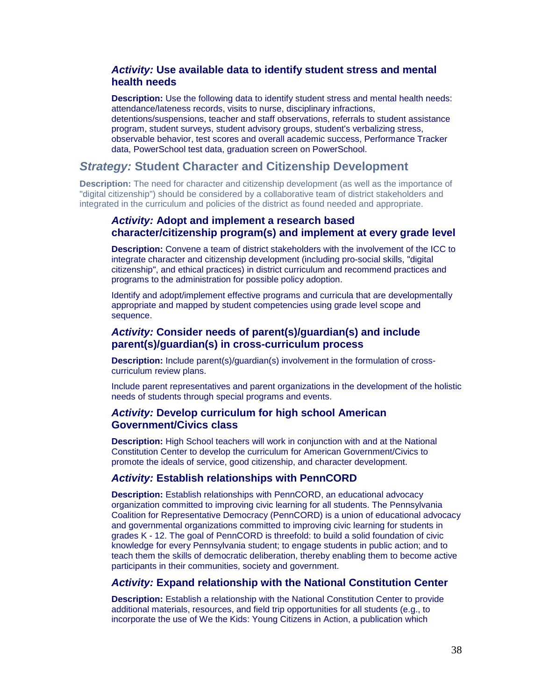### *Activity:* **Use available data to identify student stress and mental health needs**

**Description:** Use the following data to identify student stress and mental health needs: attendance/lateness records, visits to nurse, disciplinary infractions, detentions/suspensions, teacher and staff observations, referrals to student assistance program, student surveys, student advisory groups, student's verbalizing stress, observable behavior, test scores and overall academic success, Performance Tracker data, PowerSchool test data, graduation screen on PowerSchool.

## *Strategy:* **Student Character and Citizenship Development**

**Description:** The need for character and citizenship development (as well as the importance of "digital citizenship") should be considered by a collaborative team of district stakeholders and integrated in the curriculum and policies of the district as found needed and appropriate.

## *Activity:* **Adopt and implement a research based character/citizenship program(s) and implement at every grade level**

**Description:** Convene a team of district stakeholders with the involvement of the ICC to integrate character and citizenship development (including pro-social skills, "digital citizenship", and ethical practices) in district curriculum and recommend practices and programs to the administration for possible policy adoption.

Identify and adopt/implement effective programs and curricula that are developmentally appropriate and mapped by student competencies using grade level scope and sequence.

## *Activity:* **Consider needs of parent(s)/guardian(s) and include parent(s)/guardian(s) in cross-curriculum process**

**Description:** Include parent(s)/guardian(s) involvement in the formulation of crosscurriculum review plans.

Include parent representatives and parent organizations in the development of the holistic needs of students through special programs and events.

# *Activity:* **Develop curriculum for high school American Government/Civics class**

**Description:** High School teachers will work in conjunction with and at the National Constitution Center to develop the curriculum for American Government/Civics to promote the ideals of service, good citizenship, and character development.

#### *Activity:* **Establish relationships with PennCORD**

**Description:** Establish relationships with PennCORD, an educational advocacy organization committed to improving civic learning for all students. The Pennsylvania Coalition for Representative Democracy (PennCORD) is a union of educational advocacy and governmental organizations committed to improving civic learning for students in grades K - 12. The goal of PennCORD is threefold: to build a solid foundation of civic knowledge for every Pennsylvania student; to engage students in public action; and to teach them the skills of democratic deliberation, thereby enabling them to become active participants in their communities, society and government.

#### *Activity:* **Expand relationship with the National Constitution Center**

**Description:** Establish a relationship with the National Constitution Center to provide additional materials, resources, and field trip opportunities for all students (e.g., to incorporate the use of We the Kids: Young Citizens in Action, a publication which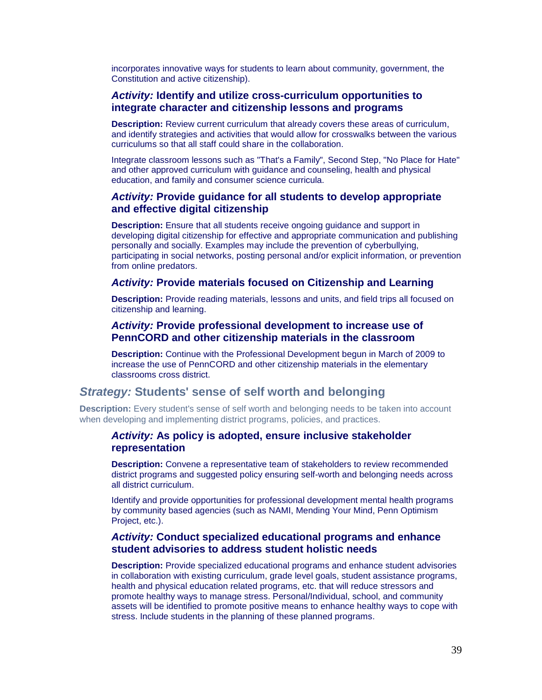incorporates innovative ways for students to learn about community, government, the Constitution and active citizenship).

### *Activity:* **Identify and utilize cross-curriculum opportunities to integrate character and citizenship lessons and programs**

**Description:** Review current curriculum that already covers these areas of curriculum, and identify strategies and activities that would allow for crosswalks between the various curriculums so that all staff could share in the collaboration.

Integrate classroom lessons such as "That's a Family", Second Step, "No Place for Hate" and other approved curriculum with guidance and counseling, health and physical education, and family and consumer science curricula.

## *Activity:* **Provide guidance for all students to develop appropriate and effective digital citizenship**

**Description:** Ensure that all students receive ongoing guidance and support in developing digital citizenship for effective and appropriate communication and publishing personally and socially. Examples may include the prevention of cyberbullying, participating in social networks, posting personal and/or explicit information, or prevention from online predators.

#### *Activity:* **Provide materials focused on Citizenship and Learning**

**Description:** Provide reading materials, lessons and units, and field trips all focused on citizenship and learning.

#### *Activity:* **Provide professional development to increase use of PennCORD and other citizenship materials in the classroom**

**Description:** Continue with the Professional Development begun in March of 2009 to increase the use of PennCORD and other citizenship materials in the elementary classrooms cross district.

# *Strategy:* **Students' sense of self worth and belonging**

**Description:** Every student's sense of self worth and belonging needs to be taken into account when developing and implementing district programs, policies, and practices.

#### *Activity:* **As policy is adopted, ensure inclusive stakeholder representation**

**Description:** Convene a representative team of stakeholders to review recommended district programs and suggested policy ensuring self-worth and belonging needs across all district curriculum.

Identify and provide opportunities for professional development mental health programs by community based agencies (such as NAMI, Mending Your Mind, Penn Optimism Project, etc.).

#### *Activity:* **Conduct specialized educational programs and enhance student advisories to address student holistic needs**

**Description:** Provide specialized educational programs and enhance student advisories in collaboration with existing curriculum, grade level goals, student assistance programs, health and physical education related programs, etc. that will reduce stressors and promote healthy ways to manage stress. Personal/Individual, school, and community assets will be identified to promote positive means to enhance healthy ways to cope with stress. Include students in the planning of these planned programs.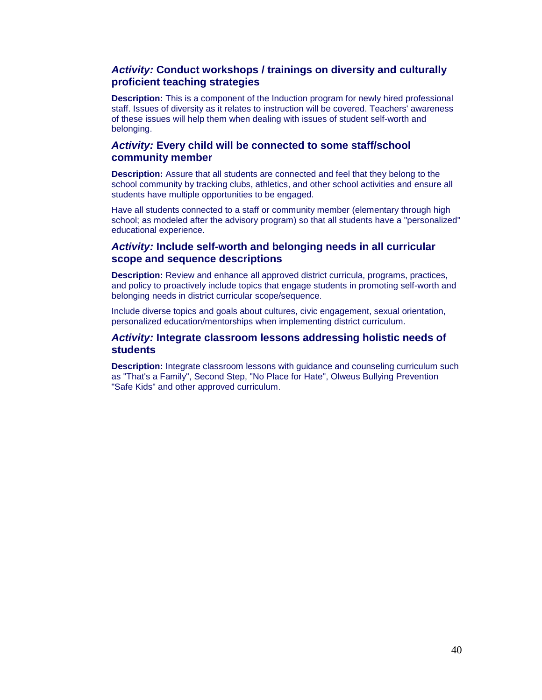## *Activity:* **Conduct workshops / trainings on diversity and culturally proficient teaching strategies**

**Description:** This is a component of the Induction program for newly hired professional staff. Issues of diversity as it relates to instruction will be covered. Teachers' awareness of these issues will help them when dealing with issues of student self-worth and belonging.

#### *Activity:* **Every child will be connected to some staff/school community member**

**Description:** Assure that all students are connected and feel that they belong to the school community by tracking clubs, athletics, and other school activities and ensure all students have multiple opportunities to be engaged.

Have all students connected to a staff or community member (elementary through high school; as modeled after the advisory program) so that all students have a "personalized" educational experience.

### *Activity:* **Include self-worth and belonging needs in all curricular scope and sequence descriptions**

**Description:** Review and enhance all approved district curricula, programs, practices, and policy to proactively include topics that engage students in promoting self-worth and belonging needs in district curricular scope/sequence.

Include diverse topics and goals about cultures, civic engagement, sexual orientation, personalized education/mentorships when implementing district curriculum.

#### *Activity:* **Integrate classroom lessons addressing holistic needs of students**

**Description:** Integrate classroom lessons with guidance and counseling curriculum such as "That's a Family", Second Step, "No Place for Hate", Olweus Bullying Prevention "Safe Kids" and other approved curriculum.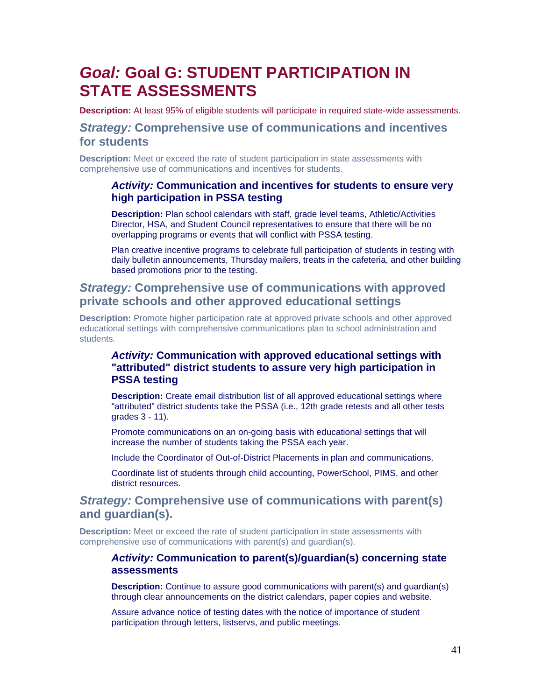# *Goal:* **Goal G: STUDENT PARTICIPATION IN STATE ASSESSMENTS**

**Description:** At least 95% of eligible students will participate in required state-wide assessments.

# *Strategy:* **Comprehensive use of communications and incentives for students**

**Description:** Meet or exceed the rate of student participation in state assessments with comprehensive use of communications and incentives for students.

## *Activity:* **Communication and incentives for students to ensure very high participation in PSSA testing**

**Description:** Plan school calendars with staff, grade level teams, Athletic/Activities Director, HSA, and Student Council representatives to ensure that there will be no overlapping programs or events that will conflict with PSSA testing.

Plan creative incentive programs to celebrate full participation of students in testing with daily bulletin announcements, Thursday mailers, treats in the cafeteria, and other building based promotions prior to the testing.

# *Strategy:* **Comprehensive use of communications with approved private schools and other approved educational settings**

**Description:** Promote higher participation rate at approved private schools and other approved educational settings with comprehensive communications plan to school administration and students.

# *Activity:* **Communication with approved educational settings with "attributed" district students to assure very high participation in PSSA testing**

**Description:** Create email distribution list of all approved educational settings where "attributed" district students take the PSSA (i.e., 12th grade retests and all other tests grades 3 - 11).

Promote communications on an on-going basis with educational settings that will increase the number of students taking the PSSA each year.

Include the Coordinator of Out-of-District Placements in plan and communications.

Coordinate list of students through child accounting, PowerSchool, PIMS, and other district resources.

# *Strategy:* **Comprehensive use of communications with parent(s) and guardian(s).**

**Description:** Meet or exceed the rate of student participation in state assessments with comprehensive use of communications with parent(s) and guardian(s).

#### *Activity:* **Communication to parent(s)/guardian(s) concerning state assessments**

**Description:** Continue to assure good communications with parent(s) and guardian(s) through clear announcements on the district calendars, paper copies and website.

Assure advance notice of testing dates with the notice of importance of student participation through letters, listservs, and public meetings.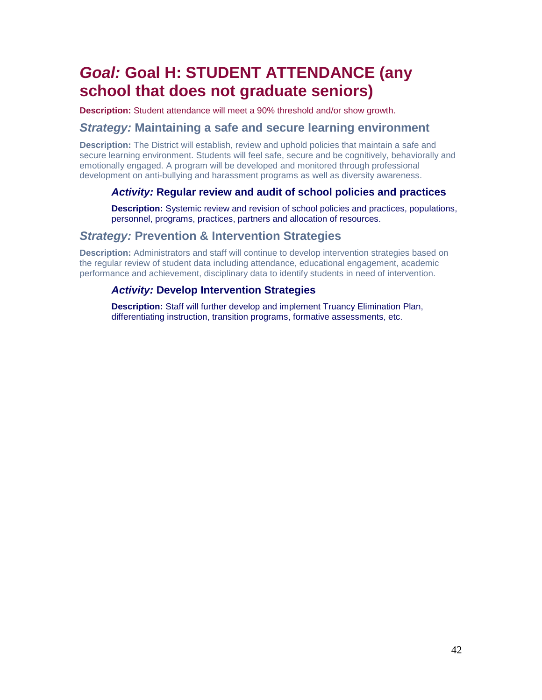# *Goal:* **Goal H: STUDENT ATTENDANCE (any school that does not graduate seniors)**

**Description:** Student attendance will meet a 90% threshold and/or show growth.

# *Strategy:* **Maintaining a safe and secure learning environment**

**Description:** The District will establish, review and uphold policies that maintain a safe and secure learning environment. Students will feel safe, secure and be cognitively, behaviorally and emotionally engaged. A program will be developed and monitored through professional development on anti-bullying and harassment programs as well as diversity awareness.

# *Activity:* **Regular review and audit of school policies and practices**

**Description:** Systemic review and revision of school policies and practices, populations, personnel, programs, practices, partners and allocation of resources.

# *Strategy:* **Prevention & Intervention Strategies**

**Description:** Administrators and staff will continue to develop intervention strategies based on the regular review of student data including attendance, educational engagement, academic performance and achievement, disciplinary data to identify students in need of intervention.

# *Activity:* **Develop Intervention Strategies**

**Description:** Staff will further develop and implement Truancy Elimination Plan, differentiating instruction, transition programs, formative assessments, etc.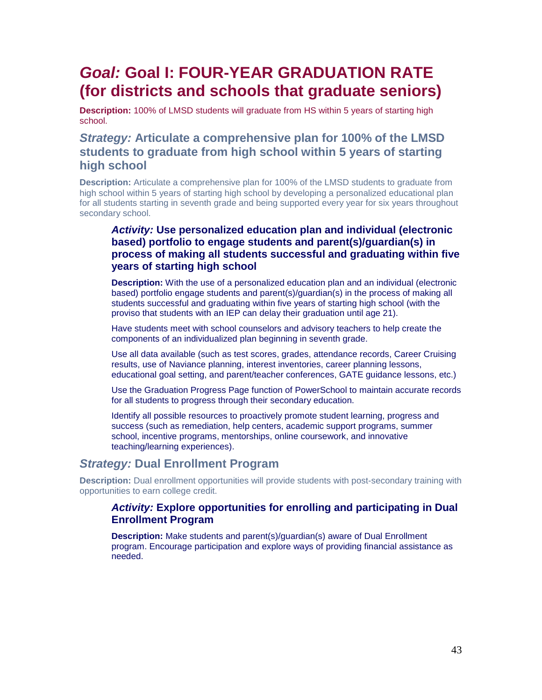# *Goal:* **Goal I: FOUR-YEAR GRADUATION RATE (for districts and schools that graduate seniors)**

**Description:** 100% of LMSD students will graduate from HS within 5 years of starting high school.

# *Strategy:* **Articulate a comprehensive plan for 100% of the LMSD students to graduate from high school within 5 years of starting high school**

**Description:** Articulate a comprehensive plan for 100% of the LMSD students to graduate from high school within 5 years of starting high school by developing a personalized educational plan for all students starting in seventh grade and being supported every year for six years throughout secondary school.

# *Activity:* **Use personalized education plan and individual (electronic based) portfolio to engage students and parent(s)/guardian(s) in process of making all students successful and graduating within five years of starting high school**

**Description:** With the use of a personalized education plan and an individual (electronic based) portfolio engage students and parent(s)/guardian(s) in the process of making all students successful and graduating within five years of starting high school (with the proviso that students with an IEP can delay their graduation until age 21).

Have students meet with school counselors and advisory teachers to help create the components of an individualized plan beginning in seventh grade.

Use all data available (such as test scores, grades, attendance records, Career Cruising results, use of Naviance planning, interest inventories, career planning lessons, educational goal setting, and parent/teacher conferences, GATE guidance lessons, etc.)

Use the Graduation Progress Page function of PowerSchool to maintain accurate records for all students to progress through their secondary education.

Identify all possible resources to proactively promote student learning, progress and success (such as remediation, help centers, academic support programs, summer school, incentive programs, mentorships, online coursework, and innovative teaching/learning experiences).

# *Strategy:* **Dual Enrollment Program**

**Description:** Dual enrollment opportunities will provide students with post-secondary training with opportunities to earn college credit.

## *Activity:* **Explore opportunities for enrolling and participating in Dual Enrollment Program**

**Description:** Make students and parent(s)/guardian(s) aware of Dual Enrollment program. Encourage participation and explore ways of providing financial assistance as needed.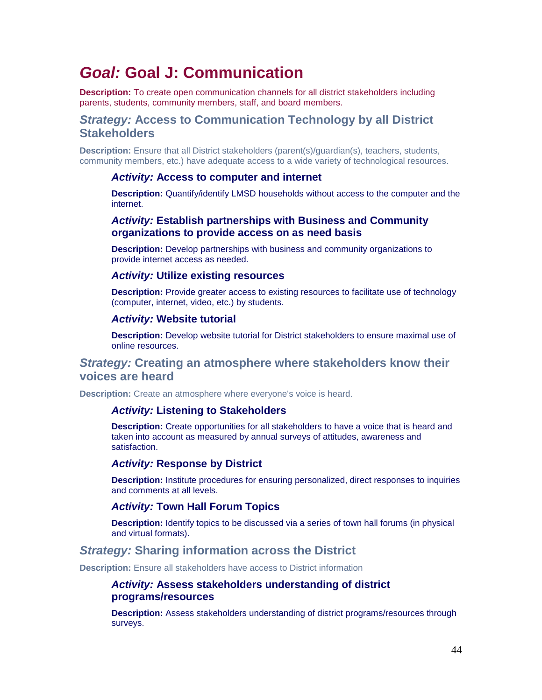# *Goal:* **Goal J: Communication**

**Description:** To create open communication channels for all district stakeholders including parents, students, community members, staff, and board members.

# *Strategy:* **Access to Communication Technology by all District Stakeholders**

**Description:** Ensure that all District stakeholders (parent(s)/guardian(s), teachers, students, community members, etc.) have adequate access to a wide variety of technological resources.

#### *Activity:* **Access to computer and internet**

**Description:** Quantify/identify LMSD households without access to the computer and the internet.

#### *Activity:* **Establish partnerships with Business and Community organizations to provide access on as need basis**

**Description:** Develop partnerships with business and community organizations to provide internet access as needed.

#### *Activity:* **Utilize existing resources**

**Description:** Provide greater access to existing resources to facilitate use of technology (computer, internet, video, etc.) by students.

#### *Activity:* **Website tutorial**

**Description:** Develop website tutorial for District stakeholders to ensure maximal use of online resources.

# *Strategy:* **Creating an atmosphere where stakeholders know their voices are heard**

**Description:** Create an atmosphere where everyone's voice is heard.

#### *Activity:* **Listening to Stakeholders**

**Description:** Create opportunities for all stakeholders to have a voice that is heard and taken into account as measured by annual surveys of attitudes, awareness and satisfaction.

#### *Activity:* **Response by District**

**Description:** Institute procedures for ensuring personalized, direct responses to inquiries and comments at all levels.

#### *Activity:* **Town Hall Forum Topics**

**Description:** Identify topics to be discussed via a series of town hall forums (in physical and virtual formats).

# *Strategy:* **Sharing information across the District**

**Description:** Ensure all stakeholders have access to District information

#### *Activity:* **Assess stakeholders understanding of district programs/resources**

**Description:** Assess stakeholders understanding of district programs/resources through surveys.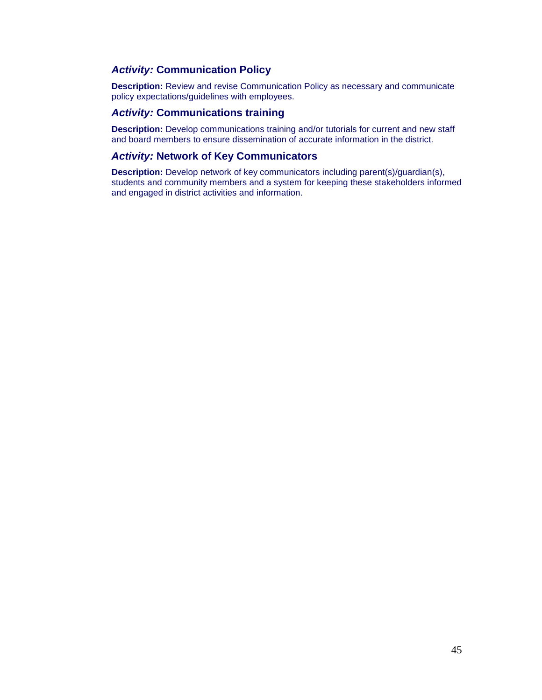## *Activity:* **Communication Policy**

**Description:** Review and revise Communication Policy as necessary and communicate policy expectations/guidelines with employees.

# *Activity:* **Communications training**

**Description:** Develop communications training and/or tutorials for current and new staff and board members to ensure dissemination of accurate information in the district.

#### *Activity:* **Network of Key Communicators**

**Description:** Develop network of key communicators including parent(s)/guardian(s), students and community members and a system for keeping these stakeholders informed and engaged in district activities and information.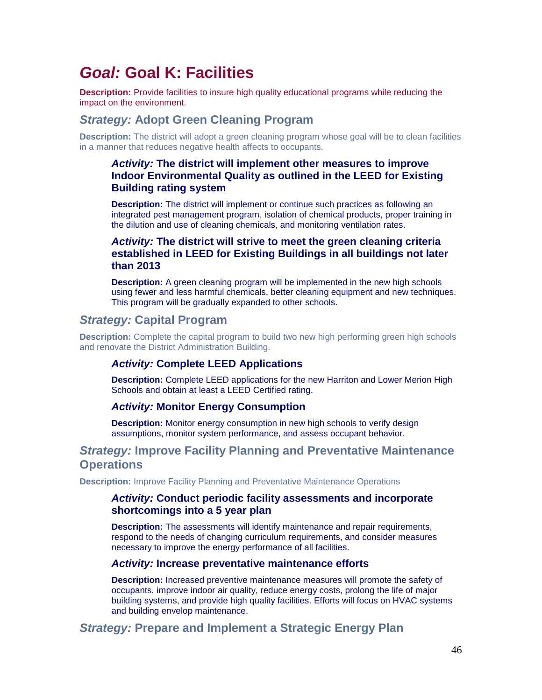# *Goal:* **Goal K: Facilities**

**Description:** Provide facilities to insure high quality educational programs while reducing the impact on the environment.

# *Strategy:* **Adopt Green Cleaning Program**

**Description:** The district will adopt a green cleaning program whose goal will be to clean facilities in a manner that reduces negative health affects to occupants.

## *Activity:* **The district will implement other measures to improve Indoor Environmental Quality as outlined in the LEED for Existing Building rating system**

**Description:** The district will implement or continue such practices as following an integrated pest management program, isolation of chemical products, proper training in the dilution and use of cleaning chemicals, and monitoring ventilation rates.

## *Activity:* **The district will strive to meet the green cleaning criteria established in LEED for Existing Buildings in all buildings not later than 2013**

**Description:** A green cleaning program will be implemented in the new high schools using fewer and less harmful chemicals, better cleaning equipment and new techniques. This program will be gradually expanded to other schools.

# *Strategy:* **Capital Program**

**Description:** Complete the capital program to build two new high performing green high schools and renovate the District Administration Building.

## *Activity:* **Complete LEED Applications**

**Description:** Complete LEED applications for the new Harriton and Lower Merion High Schools and obtain at least a LEED Certified rating.

#### *Activity:* **Monitor Energy Consumption**

**Description:** Monitor energy consumption in new high schools to verify design assumptions, monitor system performance, and assess occupant behavior.

# *Strategy:* **Improve Facility Planning and Preventative Maintenance Operations**

**Description:** Improve Facility Planning and Preventative Maintenance Operations

#### *Activity:* **Conduct periodic facility assessments and incorporate shortcomings into a 5 year plan**

**Description:** The assessments will identify maintenance and repair requirements, respond to the needs of changing curriculum requirements, and consider measures necessary to improve the energy performance of all facilities.

#### *Activity:* **Increase preventative maintenance efforts**

**Description:** Increased preventive maintenance measures will promote the safety of occupants, improve indoor air quality, reduce energy costs, prolong the life of major building systems, and provide high quality facilities. Efforts will focus on HVAC systems and building envelop maintenance.

# *Strategy:* **Prepare and Implement a Strategic Energy Plan**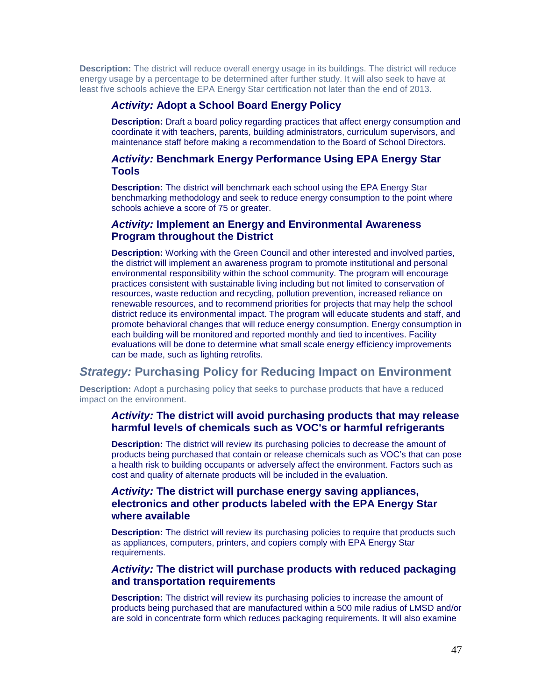**Description:** The district will reduce overall energy usage in its buildings. The district will reduce energy usage by a percentage to be determined after further study. It will also seek to have at least five schools achieve the EPA Energy Star certification not later than the end of 2013.

## *Activity:* **Adopt a School Board Energy Policy**

**Description:** Draft a board policy regarding practices that affect energy consumption and coordinate it with teachers, parents, building administrators, curriculum supervisors, and maintenance staff before making a recommendation to the Board of School Directors.

## *Activity:* **Benchmark Energy Performance Using EPA Energy Star Tools**

**Description:** The district will benchmark each school using the EPA Energy Star benchmarking methodology and seek to reduce energy consumption to the point where schools achieve a score of 75 or greater.

#### *Activity:* **Implement an Energy and Environmental Awareness Program throughout the District**

**Description:** Working with the Green Council and other interested and involved parties, the district will implement an awareness program to promote institutional and personal environmental responsibility within the school community. The program will encourage practices consistent with sustainable living including but not limited to conservation of resources, waste reduction and recycling, pollution prevention, increased reliance on renewable resources, and to recommend priorities for projects that may help the school district reduce its environmental impact. The program will educate students and staff, and promote behavioral changes that will reduce energy consumption. Energy consumption in each building will be monitored and reported monthly and tied to incentives. Facility evaluations will be done to determine what small scale energy efficiency improvements can be made, such as lighting retrofits.

# *Strategy:* **Purchasing Policy for Reducing Impact on Environment**

**Description:** Adopt a purchasing policy that seeks to purchase products that have a reduced impact on the environment.

#### *Activity:* **The district will avoid purchasing products that may release harmful levels of chemicals such as VOC's or harmful refrigerants**

**Description:** The district will review its purchasing policies to decrease the amount of products being purchased that contain or release chemicals such as VOC's that can pose a health risk to building occupants or adversely affect the environment. Factors such as cost and quality of alternate products will be included in the evaluation.

## *Activity:* **The district will purchase energy saving appliances, electronics and other products labeled with the EPA Energy Star where available**

**Description:** The district will review its purchasing policies to require that products such as appliances, computers, printers, and copiers comply with EPA Energy Star requirements.

#### *Activity:* **The district will purchase products with reduced packaging and transportation requirements**

**Description:** The district will review its purchasing policies to increase the amount of products being purchased that are manufactured within a 500 mile radius of LMSD and/or are sold in concentrate form which reduces packaging requirements. It will also examine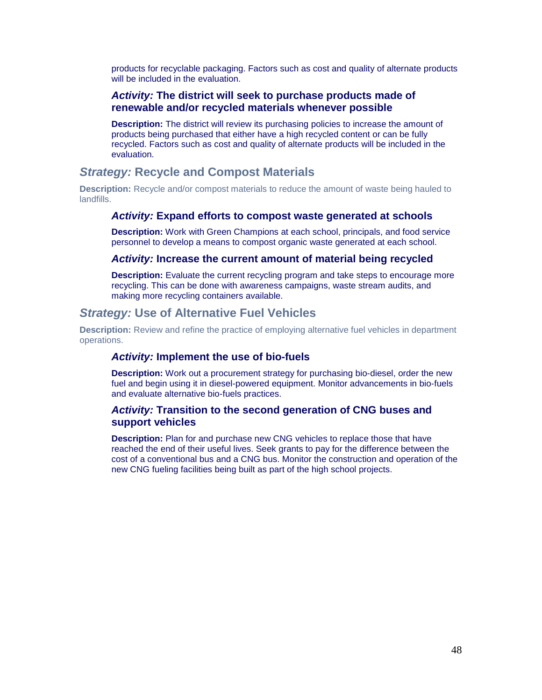products for recyclable packaging. Factors such as cost and quality of alternate products will be included in the evaluation.

## *Activity:* **The district will seek to purchase products made of renewable and/or recycled materials whenever possible**

**Description:** The district will review its purchasing policies to increase the amount of products being purchased that either have a high recycled content or can be fully recycled. Factors such as cost and quality of alternate products will be included in the evaluation.

# *Strategy:* **Recycle and Compost Materials**

**Description:** Recycle and/or compost materials to reduce the amount of waste being hauled to landfills.

#### *Activity:* **Expand efforts to compost waste generated at schools**

**Description:** Work with Green Champions at each school, principals, and food service personnel to develop a means to compost organic waste generated at each school.

#### *Activity:* **Increase the current amount of material being recycled**

**Description:** Evaluate the current recycling program and take steps to encourage more recycling. This can be done with awareness campaigns, waste stream audits, and making more recycling containers available.

# *Strategy:* **Use of Alternative Fuel Vehicles**

**Description:** Review and refine the practice of employing alternative fuel vehicles in department operations.

#### *Activity:* **Implement the use of bio-fuels**

**Description:** Work out a procurement strategy for purchasing bio-diesel, order the new fuel and begin using it in diesel-powered equipment. Monitor advancements in bio-fuels and evaluate alternative bio-fuels practices.

## *Activity:* **Transition to the second generation of CNG buses and support vehicles**

**Description:** Plan for and purchase new CNG vehicles to replace those that have reached the end of their useful lives. Seek grants to pay for the difference between the cost of a conventional bus and a CNG bus. Monitor the construction and operation of the new CNG fueling facilities being built as part of the high school projects.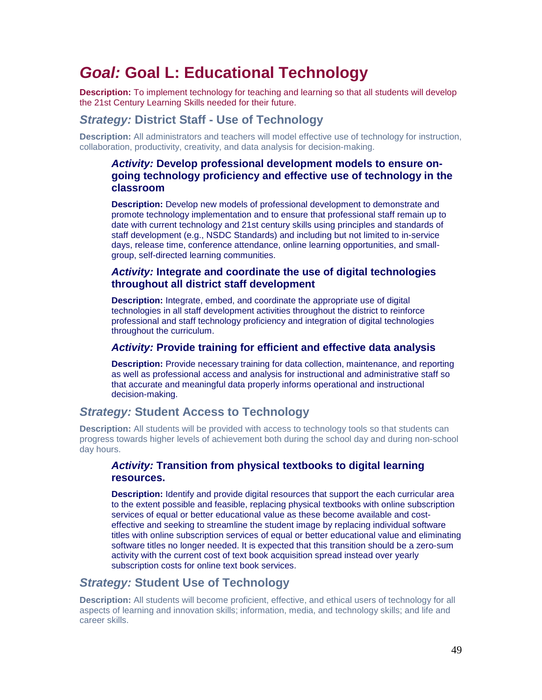# *Goal:* **Goal L: Educational Technology**

**Description:** To implement technology for teaching and learning so that all students will develop the 21st Century Learning Skills needed for their future.

# *Strategy:* **District Staff - Use of Technology**

**Description:** All administrators and teachers will model effective use of technology for instruction, collaboration, productivity, creativity, and data analysis for decision-making.

## *Activity:* **Develop professional development models to ensure ongoing technology proficiency and effective use of technology in the classroom**

**Description:** Develop new models of professional development to demonstrate and promote technology implementation and to ensure that professional staff remain up to date with current technology and 21st century skills using principles and standards of staff development (e.g., NSDC Standards) and including but not limited to in-service days, release time, conference attendance, online learning opportunities, and smallgroup, self-directed learning communities.

## *Activity:* **Integrate and coordinate the use of digital technologies throughout all district staff development**

**Description:** Integrate, embed, and coordinate the appropriate use of digital technologies in all staff development activities throughout the district to reinforce professional and staff technology proficiency and integration of digital technologies throughout the curriculum.

#### *Activity:* **Provide training for efficient and effective data analysis**

**Description:** Provide necessary training for data collection, maintenance, and reporting as well as professional access and analysis for instructional and administrative staff so that accurate and meaningful data properly informs operational and instructional decision-making.

# *Strategy:* **Student Access to Technology**

**Description:** All students will be provided with access to technology tools so that students can progress towards higher levels of achievement both during the school day and during non-school day hours.

#### *Activity:* **Transition from physical textbooks to digital learning resources.**

**Description:** Identify and provide digital resources that support the each curricular area to the extent possible and feasible, replacing physical textbooks with online subscription services of equal or better educational value as these become available and costeffective and seeking to streamline the student image by replacing individual software titles with online subscription services of equal or better educational value and eliminating software titles no longer needed. It is expected that this transition should be a zero-sum activity with the current cost of text book acquisition spread instead over yearly subscription costs for online text book services.

# *Strategy:* **Student Use of Technology**

**Description:** All students will become proficient, effective, and ethical users of technology for all aspects of learning and innovation skills; information, media, and technology skills; and life and career skills.